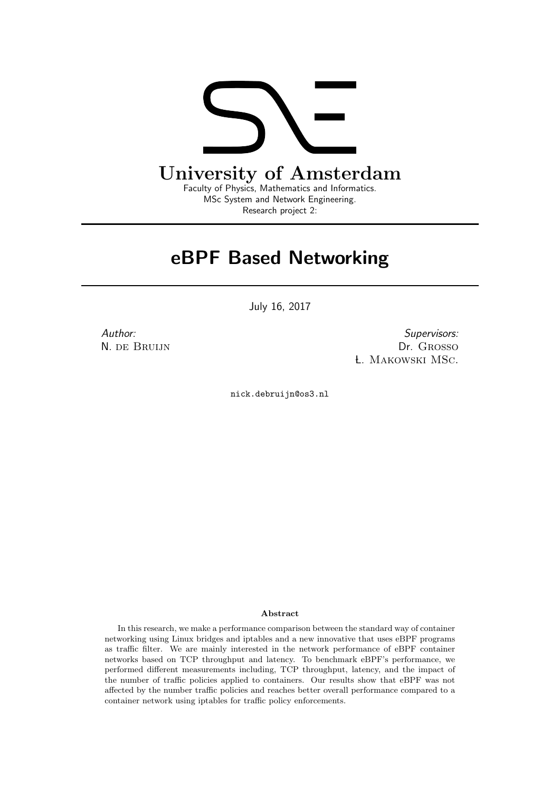

## eBPF Based Networking

July 16, 2017

Author: N. de Bruijn

Supervisors: Dr. Grosso L. Makowski MSc.

nick.debruijn@os3.nl

#### Abstract

In this research, we make a performance comparison between the standard way of container networking using Linux bridges and iptables and a new innovative that uses eBPF programs as traffic filter. We are mainly interested in the network performance of eBPF container networks based on TCP throughput and latency. To benchmark eBPF's performance, we performed different measurements including, TCP throughput, latency, and the impact of the number of traffic policies applied to containers. Our results show that eBPF was not affected by the number traffic policies and reaches better overall performance compared to a container network using iptables for traffic policy enforcements.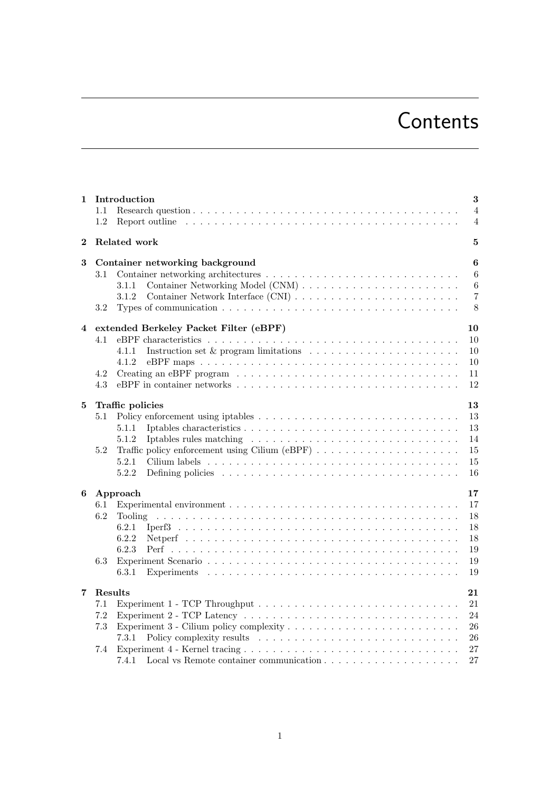# **Contents**

| 1                       | Introduction                                                                                                                                                                                                                                                                                                                                                                                                                                    | 3              |  |  |  |  |  |
|-------------------------|-------------------------------------------------------------------------------------------------------------------------------------------------------------------------------------------------------------------------------------------------------------------------------------------------------------------------------------------------------------------------------------------------------------------------------------------------|----------------|--|--|--|--|--|
|                         | 1.1                                                                                                                                                                                                                                                                                                                                                                                                                                             | $\overline{4}$ |  |  |  |  |  |
|                         | 1.2<br>Report outline $\ldots \ldots \ldots \ldots \ldots \ldots \ldots \ldots \ldots \ldots \ldots \ldots \ldots$                                                                                                                                                                                                                                                                                                                              | $\overline{4}$ |  |  |  |  |  |
| $\bf{2}$                | Related work<br>5                                                                                                                                                                                                                                                                                                                                                                                                                               |                |  |  |  |  |  |
| 3                       | Container networking background                                                                                                                                                                                                                                                                                                                                                                                                                 | 6              |  |  |  |  |  |
|                         | 3.1                                                                                                                                                                                                                                                                                                                                                                                                                                             | $6\,$          |  |  |  |  |  |
|                         | 3.1.1                                                                                                                                                                                                                                                                                                                                                                                                                                           | $\,6\,$        |  |  |  |  |  |
|                         | 3.1.2                                                                                                                                                                                                                                                                                                                                                                                                                                           | $\overline{7}$ |  |  |  |  |  |
|                         | Types of communication $\ldots \ldots \ldots \ldots \ldots \ldots \ldots \ldots \ldots \ldots \ldots \ldots$<br>3.2                                                                                                                                                                                                                                                                                                                             | 8              |  |  |  |  |  |
| $\overline{\mathbf{4}}$ | extended Berkeley Packet Filter (eBPF)<br>10                                                                                                                                                                                                                                                                                                                                                                                                    |                |  |  |  |  |  |
|                         | 4.1                                                                                                                                                                                                                                                                                                                                                                                                                                             | 10             |  |  |  |  |  |
|                         | 4.1.1                                                                                                                                                                                                                                                                                                                                                                                                                                           | 10             |  |  |  |  |  |
|                         | 4.1.2                                                                                                                                                                                                                                                                                                                                                                                                                                           | 10             |  |  |  |  |  |
|                         | Creating an eBPF program $\dots \dots \dots \dots \dots \dots \dots \dots \dots \dots \dots \dots \dots$<br>4.2                                                                                                                                                                                                                                                                                                                                 | 11             |  |  |  |  |  |
|                         | 4.3                                                                                                                                                                                                                                                                                                                                                                                                                                             | 12             |  |  |  |  |  |
|                         |                                                                                                                                                                                                                                                                                                                                                                                                                                                 |                |  |  |  |  |  |
| 5                       | Traffic policies                                                                                                                                                                                                                                                                                                                                                                                                                                | 13             |  |  |  |  |  |
|                         | 5.1                                                                                                                                                                                                                                                                                                                                                                                                                                             | 13             |  |  |  |  |  |
|                         | 5.1.1                                                                                                                                                                                                                                                                                                                                                                                                                                           | 13             |  |  |  |  |  |
|                         | 5.1.2                                                                                                                                                                                                                                                                                                                                                                                                                                           | 14             |  |  |  |  |  |
|                         | 5.2                                                                                                                                                                                                                                                                                                                                                                                                                                             | 15             |  |  |  |  |  |
|                         | 5.2.1                                                                                                                                                                                                                                                                                                                                                                                                                                           | 15             |  |  |  |  |  |
|                         | 5.2.2                                                                                                                                                                                                                                                                                                                                                                                                                                           | 16             |  |  |  |  |  |
| 6                       | 17<br>Approach                                                                                                                                                                                                                                                                                                                                                                                                                                  |                |  |  |  |  |  |
|                         | Experimental environment $\ldots \ldots \ldots \ldots \ldots \ldots \ldots \ldots \ldots \ldots \ldots \ldots$<br>6.1                                                                                                                                                                                                                                                                                                                           | 17             |  |  |  |  |  |
|                         | 6.2<br><b>Tooling</b>                                                                                                                                                                                                                                                                                                                                                                                                                           | 18             |  |  |  |  |  |
|                         | 6.2.1                                                                                                                                                                                                                                                                                                                                                                                                                                           | 18             |  |  |  |  |  |
|                         | 6.2.2                                                                                                                                                                                                                                                                                                                                                                                                                                           | 18             |  |  |  |  |  |
|                         | 6.2.3                                                                                                                                                                                                                                                                                                                                                                                                                                           | 19             |  |  |  |  |  |
|                         | 6.3                                                                                                                                                                                                                                                                                                                                                                                                                                             | 19             |  |  |  |  |  |
|                         | 6.3.1                                                                                                                                                                                                                                                                                                                                                                                                                                           | 19             |  |  |  |  |  |
| 7                       | Results                                                                                                                                                                                                                                                                                                                                                                                                                                         | 21             |  |  |  |  |  |
|                         | 7.1                                                                                                                                                                                                                                                                                                                                                                                                                                             | 21             |  |  |  |  |  |
|                         | 7.2                                                                                                                                                                                                                                                                                                                                                                                                                                             | 24             |  |  |  |  |  |
|                         | 7.3                                                                                                                                                                                                                                                                                                                                                                                                                                             | 26             |  |  |  |  |  |
|                         | 7.3.1                                                                                                                                                                                                                                                                                                                                                                                                                                           | 26             |  |  |  |  |  |
|                         | $\textbf{Experiment 4 - Kernel tracing} \texttt{.} \texttt{.} \texttt{.} \texttt{.} \texttt{.} \texttt{.} \texttt{.} \texttt{.} \texttt{.} \texttt{.} \texttt{.} \texttt{.} \texttt{.} \texttt{.} \texttt{.} \texttt{.} \texttt{.} \texttt{.} \texttt{.} \texttt{.} \texttt{.} \texttt{.} \texttt{.} \texttt{.} \texttt{.} \texttt{.} \texttt{.} \texttt{.} \texttt{.} \texttt{.} \texttt{.} \texttt{.} \texttt{.} \texttt{.} \texttt{.$<br>7.4 | 27             |  |  |  |  |  |
|                         | 7.4.1                                                                                                                                                                                                                                                                                                                                                                                                                                           | 27             |  |  |  |  |  |
|                         |                                                                                                                                                                                                                                                                                                                                                                                                                                                 |                |  |  |  |  |  |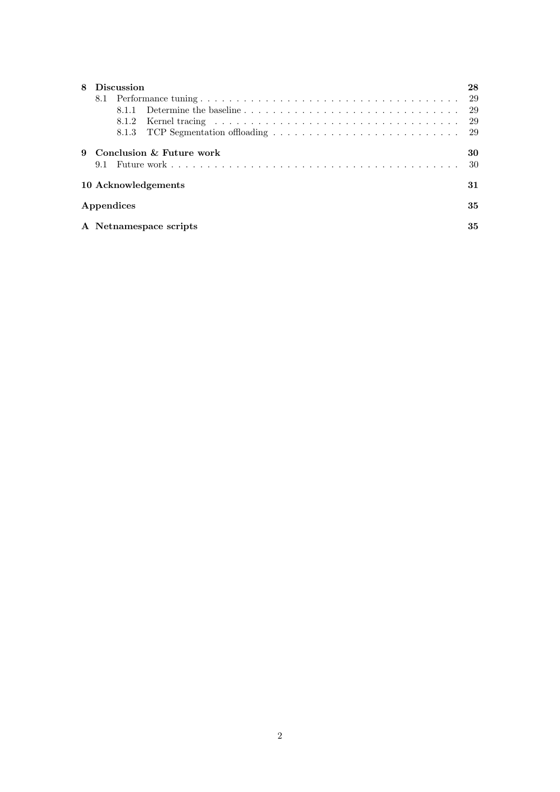| <b>Discussion</b>   |                                         |    |  |  |  |  |  |
|---------------------|-----------------------------------------|----|--|--|--|--|--|
|                     |                                         |    |  |  |  |  |  |
|                     |                                         | 29 |  |  |  |  |  |
|                     |                                         |    |  |  |  |  |  |
| 9                   | Conclusion $\&$ Future work<br>30<br>30 |    |  |  |  |  |  |
| 10 Acknowledgements |                                         |    |  |  |  |  |  |
|                     | Appendices                              |    |  |  |  |  |  |
|                     | A Netnamespace scripts                  |    |  |  |  |  |  |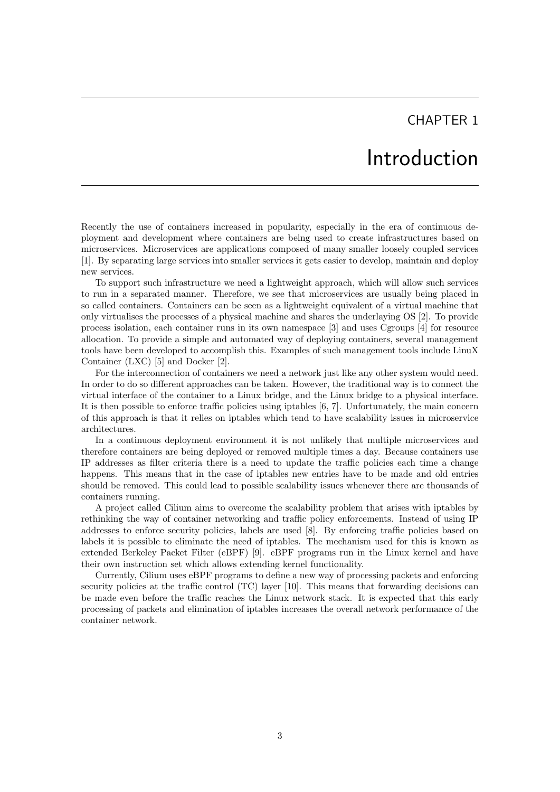## Introduction

<span id="page-3-0"></span>Recently the use of containers increased in popularity, especially in the era of continuous deployment and development where containers are being used to create infrastructures based on microservices. Microservices are applications composed of many smaller loosely coupled services [\[1\]](#page-32-0). By separating large services into smaller services it gets easier to develop, maintain and deploy new services.

To support such infrastructure we need a lightweight approach, which will allow such services to run in a separated manner. Therefore, we see that microservices are usually being placed in so called containers. Containers can be seen as a lightweight equivalent of a virtual machine that only virtualises the processes of a physical machine and shares the underlaying OS [\[2\]](#page-32-1). To provide process isolation, each container runs in its own namespace [\[3\]](#page-32-2) and uses Cgroups [\[4\]](#page-32-3) for resource allocation. To provide a simple and automated way of deploying containers, several management tools have been developed to accomplish this. Examples of such management tools include LinuX Container (LXC) [\[5\]](#page-32-4) and Docker [\[2\]](#page-32-1).

For the interconnection of containers we need a network just like any other system would need. In order to do so different approaches can be taken. However, the traditional way is to connect the virtual interface of the container to a Linux bridge, and the Linux bridge to a physical interface. It is then possible to enforce traffic policies using iptables [\[6,](#page-32-5) [7\]](#page-32-6). Unfortunately, the main concern of this approach is that it relies on iptables which tend to have scalability issues in microservice architectures.

In a continuous deployment environment it is not unlikely that multiple microservices and therefore containers are being deployed or removed multiple times a day. Because containers use IP addresses as filter criteria there is a need to update the traffic policies each time a change happens. This means that in the case of iptables new entries have to be made and old entries should be removed. This could lead to possible scalability issues whenever there are thousands of containers running.

A project called Cilium aims to overcome the scalability problem that arises with iptables by rethinking the way of container networking and traffic policy enforcements. Instead of using IP addresses to enforce security policies, labels are used [\[8\]](#page-32-7). By enforcing traffic policies based on labels it is possible to eliminate the need of iptables. The mechanism used for this is known as extended Berkeley Packet Filter (eBPF) [\[9\]](#page-32-8). eBPF programs run in the Linux kernel and have their own instruction set which allows extending kernel functionality.

Currently, Cilium uses eBPF programs to define a new way of processing packets and enforcing security policies at the traffic control (TC) layer [\[10\]](#page-32-9). This means that forwarding decisions can be made even before the traffic reaches the Linux network stack. It is expected that this early processing of packets and elimination of iptables increases the overall network performance of the container network.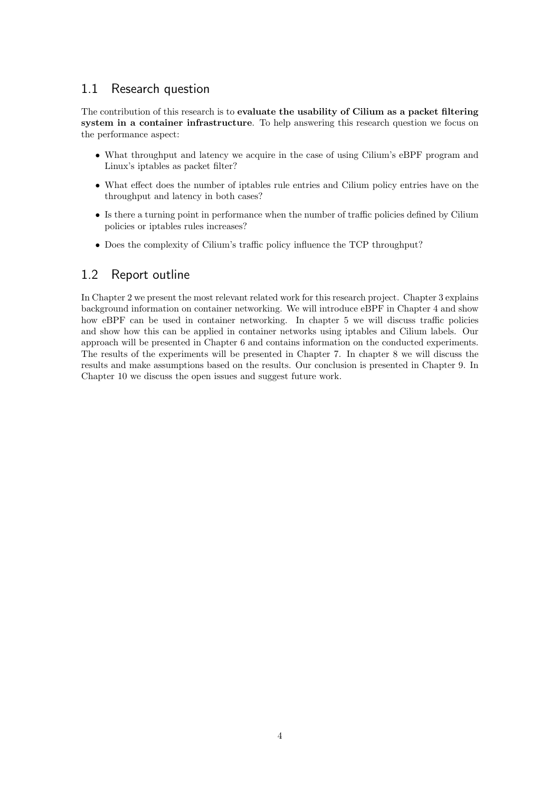## <span id="page-4-0"></span>1.1 Research question

The contribution of this research is to evaluate the usability of Cilium as a packet filtering system in a container infrastructure. To help answering this research question we focus on the performance aspect:

- What throughput and latency we acquire in the case of using Cilium's eBPF program and Linux's iptables as packet filter?
- What effect does the number of iptables rule entries and Cilium policy entries have on the throughput and latency in both cases?
- Is there a turning point in performance when the number of traffic policies defined by Cilium policies or iptables rules increases?
- Does the complexity of Cilium's traffic policy influence the TCP throughput?

## <span id="page-4-1"></span>1.2 Report outline

In Chapter 2 we present the most relevant related work for this research project. Chapter 3 explains background information on container networking. We will introduce eBPF in Chapter 4 and show how eBPF can be used in container networking. In chapter 5 we will discuss traffic policies and show how this can be applied in container networks using iptables and Cilium labels. Our approach will be presented in Chapter 6 and contains information on the conducted experiments. The results of the experiments will be presented in Chapter 7. In chapter 8 we will discuss the results and make assumptions based on the results. Our conclusion is presented in Chapter 9. In Chapter 10 we discuss the open issues and suggest future work.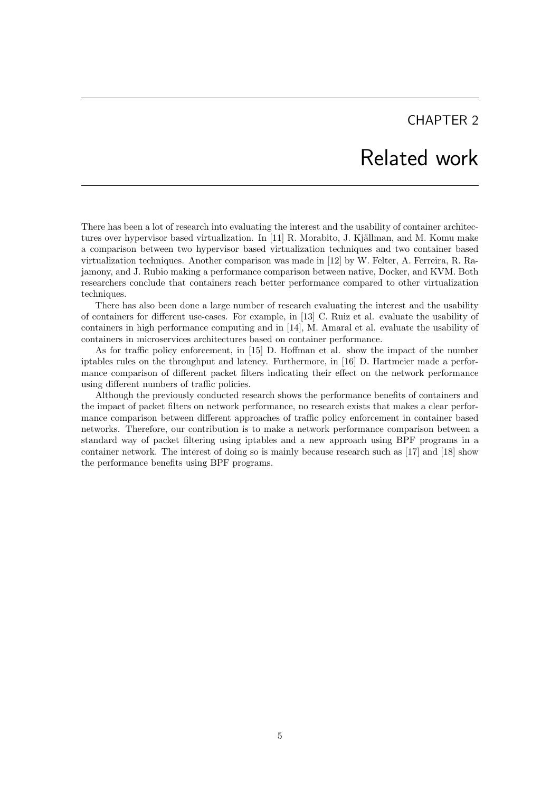## Related work

<span id="page-5-0"></span>There has been a lot of research into evaluating the interest and the usability of container architec-tures over hypervisor based virtualization. In [\[11\]](#page-32-10) R. Morabito, J. Kjällman, and M. Komu make a comparison between two hypervisor based virtualization techniques and two container based virtualization techniques. Another comparison was made in [\[12\]](#page-32-11) by W. Felter, A. Ferreira, R. Rajamony, and J. Rubio making a performance comparison between native, Docker, and KVM. Both researchers conclude that containers reach better performance compared to other virtualization techniques.

There has also been done a large number of research evaluating the interest and the usability of containers for different use-cases. For example, in [\[13\]](#page-32-12) C. Ruiz et al. evaluate the usability of containers in high performance computing and in [\[14\]](#page-32-13), M. Amaral et al. evaluate the usability of containers in microservices architectures based on container performance.

As for traffic policy enforcement, in [\[15\]](#page-32-14) D. Hoffman et al. show the impact of the number iptables rules on the throughput and latency. Furthermore, in [\[16\]](#page-33-0) D. Hartmeier made a performance comparison of different packet filters indicating their effect on the network performance using different numbers of traffic policies.

Although the previously conducted research shows the performance benefits of containers and the impact of packet filters on network performance, no research exists that makes a clear performance comparison between different approaches of traffic policy enforcement in container based networks. Therefore, our contribution is to make a network performance comparison between a standard way of packet filtering using iptables and a new approach using BPF programs in a container network. The interest of doing so is mainly because research such as [\[17\]](#page-33-1) and [\[18\]](#page-33-2) show the performance benefits using BPF programs.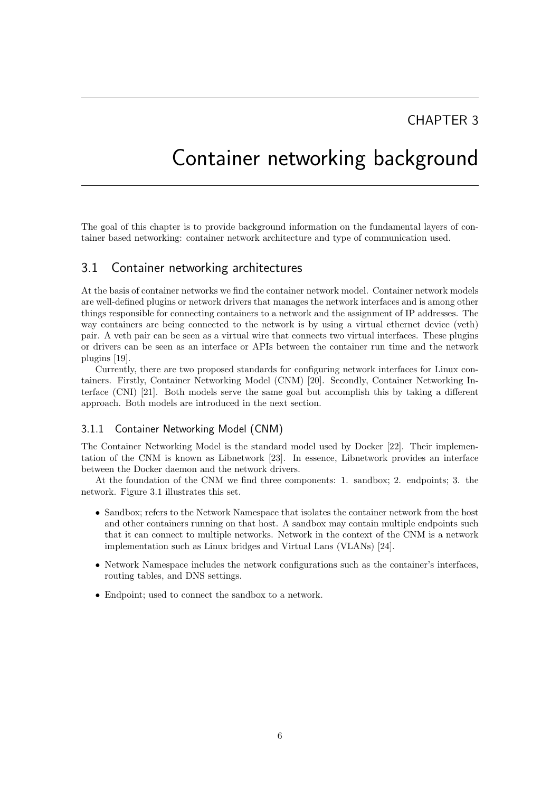## <span id="page-6-0"></span>Container networking background

The goal of this chapter is to provide background information on the fundamental layers of container based networking: container network architecture and type of communication used.

### <span id="page-6-1"></span>3.1 Container networking architectures

At the basis of container networks we find the container network model. Container network models are well-defined plugins or network drivers that manages the network interfaces and is among other things responsible for connecting containers to a network and the assignment of IP addresses. The way containers are being connected to the network is by using a virtual ethernet device (veth) pair. A veth pair can be seen as a virtual wire that connects two virtual interfaces. These plugins or drivers can be seen as an interface or APIs between the container run time and the network plugins [\[19\]](#page-33-3).

Currently, there are two proposed standards for configuring network interfaces for Linux containers. Firstly, Container Networking Model (CNM) [\[20\]](#page-33-4). Secondly, Container Networking Interface (CNI) [\[21\]](#page-33-5). Both models serve the same goal but accomplish this by taking a different approach. Both models are introduced in the next section.

#### <span id="page-6-2"></span>3.1.1 Container Networking Model (CNM)

The Container Networking Model is the standard model used by Docker [\[22\]](#page-33-6). Their implementation of the CNM is known as Libnetwork [\[23\]](#page-33-7). In essence, Libnetwork provides an interface between the Docker daemon and the network drivers.

At the foundation of the CNM we find three components: 1. sandbox; 2. endpoints; 3. the network. Figure [3.1](#page-7-1) illustrates this set.

- Sandbox; refers to the Network Namespace that isolates the container network from the host and other containers running on that host. A sandbox may contain multiple endpoints such that it can connect to multiple networks. Network in the context of the CNM is a network implementation such as Linux bridges and Virtual Lans (VLANs) [\[24\]](#page-33-8).
- Network Namespace includes the network configurations such as the container's interfaces, routing tables, and DNS settings.
- Endpoint; used to connect the sandbox to a network.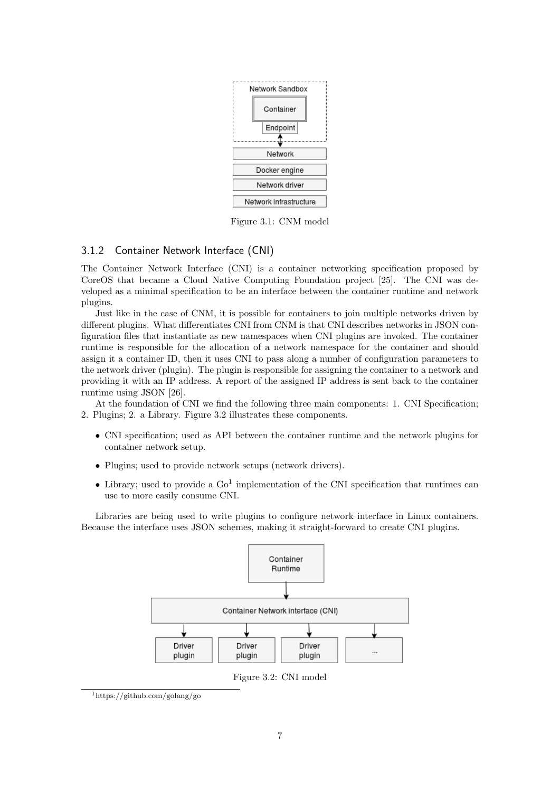<span id="page-7-1"></span>

Figure 3.1: CNM model

#### <span id="page-7-0"></span>3.1.2 Container Network Interface (CNI)

The Container Network Interface (CNI) is a container networking specification proposed by CoreOS that became a Cloud Native Computing Foundation project [\[25\]](#page-33-9). The CNI was developed as a minimal specification to be an interface between the container runtime and network plugins.

Just like in the case of CNM, it is possible for containers to join multiple networks driven by different plugins. What differentiates CNI from CNM is that CNI describes networks in JSON configuration files that instantiate as new namespaces when CNI plugins are invoked. The container runtime is responsible for the allocation of a network namespace for the container and should assign it a container ID, then it uses CNI to pass along a number of configuration parameters to the network driver (plugin). The plugin is responsible for assigning the container to a network and providing it with an IP address. A report of the assigned IP address is sent back to the container runtime using JSON [\[26\]](#page-33-10).

At the foundation of CNI we find the following three main components: 1. CNI Specification; 2. Plugins; 2. a Library. Figure [3.2](#page-7-2) illustrates these components.

- CNI specification; used as API between the container runtime and the network plugins for container network setup.
- Plugins; used to provide network setups (network drivers).
- Library; used to provide a  $Go<sup>1</sup>$  $Go<sup>1</sup>$  $Go<sup>1</sup>$  implementation of the CNI specification that runtimes can use to more easily consume CNI.

<span id="page-7-2"></span>Libraries are being used to write plugins to configure network interface in Linux containers. Because the interface uses JSON schemes, making it straight-forward to create CNI plugins.



Figure 3.2: CNI model

<span id="page-7-3"></span><sup>1</sup>https://github.com/golang/go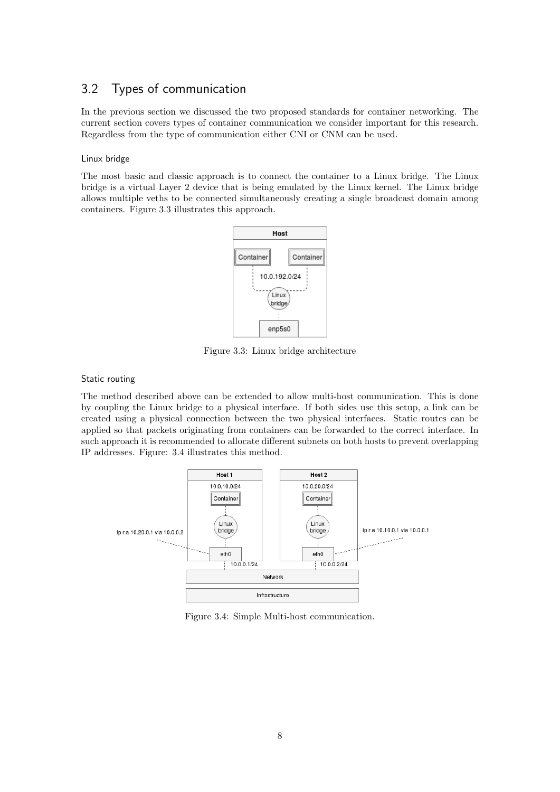### <span id="page-8-0"></span>3.2 Types of communication

In the previous section we discussed the two proposed standards for container networking. The current section covers types of container communication we consider important for this research. Regardless from the type of communication either CNI or CNM can be used.

#### Linux bridge

<span id="page-8-1"></span>The most basic and classic approach is to connect the container to a Linux bridge. The Linux bridge is a virtual Layer 2 device that is being emulated by the Linux kernel. The Linux bridge allows multiple veths to be connected simultaneously creating a single broadcast domain among containers. Figure [3.3](#page-8-1) illustrates this approach.



Figure 3.3: Linux bridge architecture

#### Static routing

The method described above can be extended to allow multi-host communication. This is done by coupling the Linux bridge to a physical interface. If both sides use this setup, a link can be created using a physical connection between the two physical interfaces. Static routes can be applied so that packets originating from containers can be forwarded to the correct interface. In such approach it is recommended to allocate different subnets on both hosts to prevent overlapping IP addresses. Figure: [3.4](#page-8-2) illustrates this method.

<span id="page-8-2"></span>

Figure 3.4: Simple Multi-host communication.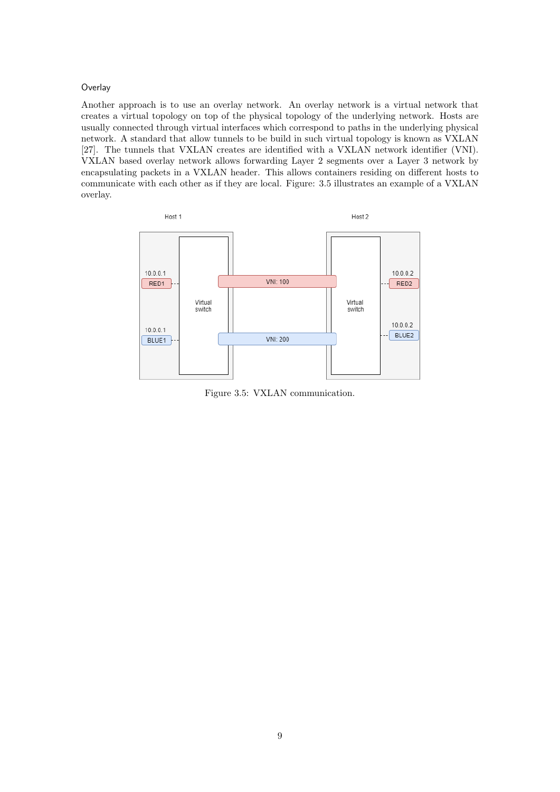#### **Overlay**

Another approach is to use an overlay network. An overlay network is a virtual network that creates a virtual topology on top of the physical topology of the underlying network. Hosts are usually connected through virtual interfaces which correspond to paths in the underlying physical network. A standard that allow tunnels to be build in such virtual topology is known as VXLAN [\[27\]](#page-33-11). The tunnels that VXLAN creates are identified with a VXLAN network identifier (VNI). VXLAN based overlay network allows forwarding Layer 2 segments over a Layer 3 network by encapsulating packets in a VXLAN header. This allows containers residing on different hosts to communicate with each other as if they are local. Figure: [3.5](#page-9-0) illustrates an example of a VXLAN overlay.

<span id="page-9-0"></span>

Figure 3.5: VXLAN communication.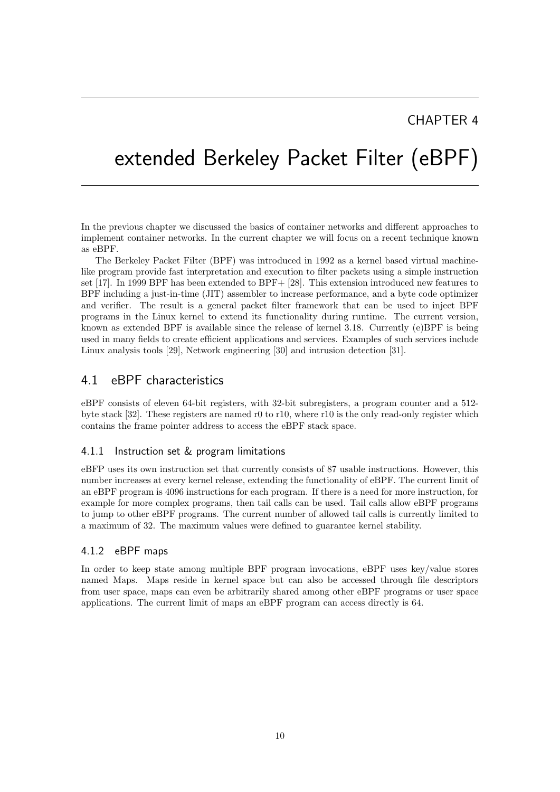# <span id="page-10-0"></span>extended Berkeley Packet Filter (eBPF)

In the previous chapter we discussed the basics of container networks and different approaches to implement container networks. In the current chapter we will focus on a recent technique known as eBPF.

The Berkeley Packet Filter (BPF) was introduced in 1992 as a kernel based virtual machinelike program provide fast interpretation and execution to filter packets using a simple instruction set [\[17\]](#page-33-1). In 1999 BPF has been extended to BPF+ [\[28\]](#page-33-12). This extension introduced new features to BPF including a just-in-time (JIT) assembler to increase performance, and a byte code optimizer and verifier. The result is a general packet filter framework that can be used to inject BPF programs in the Linux kernel to extend its functionality during runtime. The current version, known as extended BPF is available since the release of kernel 3.18. Currently (e)BPF is being used in many fields to create efficient applications and services. Examples of such services include Linux analysis tools [\[29\]](#page-33-13), Network engineering [\[30\]](#page-33-14) and intrusion detection [\[31\]](#page-33-15).

### <span id="page-10-1"></span>4.1 eBPF characteristics

eBPF consists of eleven 64-bit registers, with 32-bit subregisters, a program counter and a 512 byte stack [\[32\]](#page-33-16). These registers are named r0 to r10, where r10 is the only read-only register which contains the frame pointer address to access the eBPF stack space.

#### <span id="page-10-2"></span>4.1.1 Instruction set & program limitations

eBFP uses its own instruction set that currently consists of 87 usable instructions. However, this number increases at every kernel release, extending the functionality of eBPF. The current limit of an eBPF program is 4096 instructions for each program. If there is a need for more instruction, for example for more complex programs, then tail calls can be used. Tail calls allow eBPF programs to jump to other eBPF programs. The current number of allowed tail calls is currently limited to a maximum of 32. The maximum values were defined to guarantee kernel stability.

#### <span id="page-10-3"></span>4.1.2 eBPF maps

In order to keep state among multiple BPF program invocations, eBPF uses key/value stores named Maps. Maps reside in kernel space but can also be accessed through file descriptors from user space, maps can even be arbitrarily shared among other eBPF programs or user space applications. The current limit of maps an eBPF program can access directly is 64.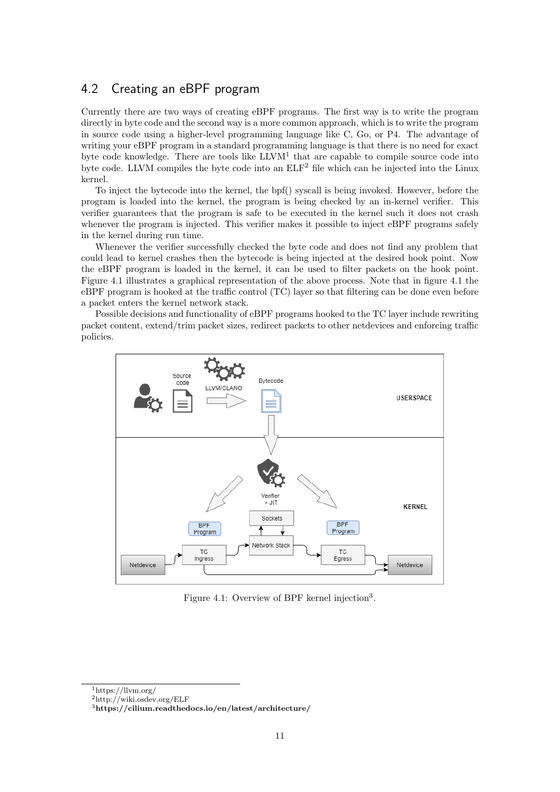## <span id="page-11-0"></span>4.2 Creating an eBPF program

Currently there are two ways of creating eBPF programs. The first way is to write the program directly in byte code and the second way is a more common approach, which is to write the program in source code using a higher-level programming language like C, Go, or P4. The advantage of writing your eBPF program in a standard programming language is that there is no need for exact byte code knowledge. There are tools like LLVM<sup>[1](#page-11-1)</sup> that are capable to compile source code into byte code. LLVM compiles the byte code into an ELF<sup>[2](#page-11-2)</sup> file which can be injected into the Linux kernel.

To inject the bytecode into the kernel, the bpf() syscall is being invoked. However, before the program is loaded into the kernel, the program is being checked by an in-kernel verifier. This verifier guarantees that the program is safe to be executed in the kernel such it does not crash whenever the program is injected. This verifier makes it possible to inject eBPF programs safely in the kernel during run time.

Whenever the verifier successfully checked the byte code and does not find any problem that could lead to kernel crashes then the bytecode is being injected at the desired hook point. Now the eBPF program is loaded in the kernel, it can be used to filter packets on the hook point. Figure [4.1](#page-11-3) illustrates a graphical representation of the above process. Note that in figure [4.1](#page-11-3) the eBPF program is hooked at the traffic control (TC) layer so that filtering can be done even before a packet enters the kernel network stack.

Possible decisions and functionality of eBPF programs hooked to the TC layer include rewriting packet content, extend/trim packet sizes, redirect packets to other netdevices and enforcing traffic policies.

<span id="page-11-3"></span>

Figure 4.1: Overview of BPF kernel injection<sup>[3](#page-11-4)</sup>.

<span id="page-11-1"></span> $1$ https://llvm.org/

<span id="page-11-2"></span><sup>2</sup>http://wiki.osdev.org/ELF

<span id="page-11-4"></span><sup>3</sup>https://cilium.readthedocs.io/en/latest/architecture/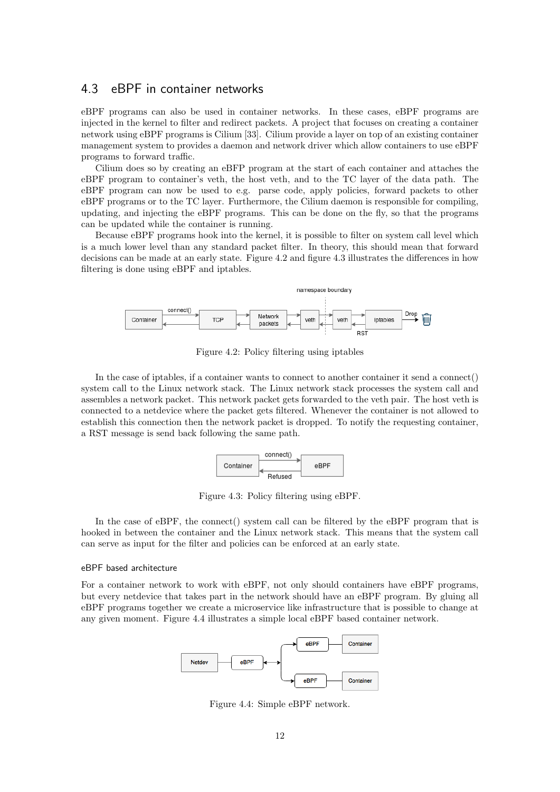### <span id="page-12-0"></span>4.3 eBPF in container networks

eBPF programs can also be used in container networks. In these cases, eBPF programs are injected in the kernel to filter and redirect packets. A project that focuses on creating a container network using eBPF programs is Cilium [\[33\]](#page-33-17). Cilium provide a layer on top of an existing container management system to provides a daemon and network driver which allow containers to use eBPF programs to forward traffic.

Cilium does so by creating an eBFP program at the start of each container and attaches the eBPF program to container's veth, the host veth, and to the TC layer of the data path. The eBPF program can now be used to e.g. parse code, apply policies, forward packets to other eBPF programs or to the TC layer. Furthermore, the Cilium daemon is responsible for compiling, updating, and injecting the eBPF programs. This can be done on the fly, so that the programs can be updated while the container is running.

Because eBPF programs hook into the kernel, it is possible to filter on system call level which is a much lower level than any standard packet filter. In theory, this should mean that forward decisions can be made at an early state. Figure [4.2](#page-12-1) and figure [4.3](#page-12-2) illustrates the differences in how filtering is done using eBPF and iptables.

<span id="page-12-1"></span>

Figure 4.2: Policy filtering using iptables

<span id="page-12-2"></span>In the case of iptables, if a container wants to connect to another container it send a connect() system call to the Linux network stack. The Linux network stack processes the system call and assembles a network packet. This network packet gets forwarded to the veth pair. The host veth is connected to a netdevice where the packet gets filtered. Whenever the container is not allowed to establish this connection then the network packet is dropped. To notify the requesting container, a RST message is send back following the same path.



Figure 4.3: Policy filtering using eBPF.

In the case of eBPF, the connect() system call can be filtered by the eBPF program that is hooked in between the container and the Linux network stack. This means that the system call can serve as input for the filter and policies can be enforced at an early state.

#### eBPF based architecture

<span id="page-12-3"></span>For a container network to work with eBPF, not only should containers have eBPF programs, but every netdevice that takes part in the network should have an eBPF program. By gluing all eBPF programs together we create a microservice like infrastructure that is possible to change at any given moment. Figure [4.4](#page-12-3) illustrates a simple local eBPF based container network.



Figure 4.4: Simple eBPF network.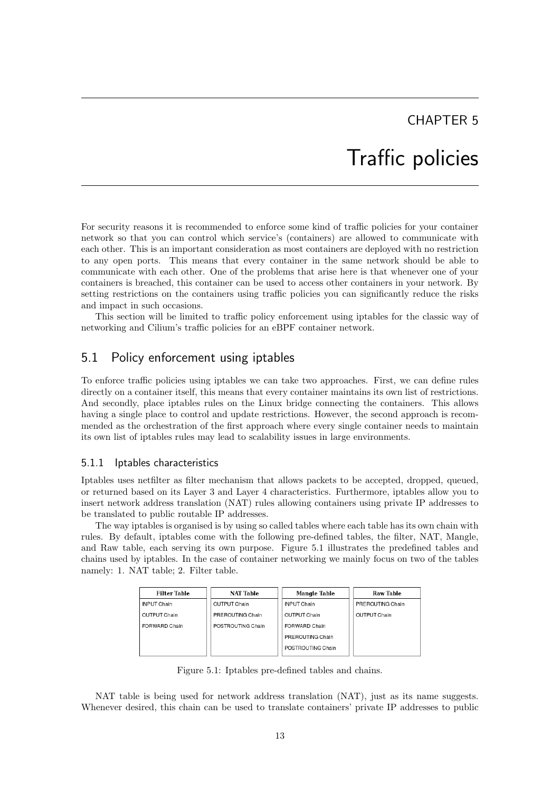## Traffic policies

<span id="page-13-0"></span>For security reasons it is recommended to enforce some kind of traffic policies for your container network so that you can control which service's (containers) are allowed to communicate with each other. This is an important consideration as most containers are deployed with no restriction to any open ports. This means that every container in the same network should be able to communicate with each other. One of the problems that arise here is that whenever one of your containers is breached, this container can be used to access other containers in your network. By setting restrictions on the containers using traffic policies you can significantly reduce the risks and impact in such occasions.

This section will be limited to traffic policy enforcement using iptables for the classic way of networking and Cilium's traffic policies for an eBPF container network.

### <span id="page-13-1"></span>5.1 Policy enforcement using iptables

To enforce traffic policies using iptables we can take two approaches. First, we can define rules directly on a container itself, this means that every container maintains its own list of restrictions. And secondly, place iptables rules on the Linux bridge connecting the containers. This allows having a single place to control and update restrictions. However, the second approach is recommended as the orchestration of the first approach where every single container needs to maintain its own list of iptables rules may lead to scalability issues in large environments.

#### <span id="page-13-2"></span>5.1.1 Iptables characteristics

Iptables uses netfilter as filter mechanism that allows packets to be accepted, dropped, queued, or returned based on its Layer 3 and Layer 4 characteristics. Furthermore, iptables allow you to insert network address translation (NAT) rules allowing containers using private IP addresses to be translated to public routable IP addresses.

The way iptables is organised is by using so called tables where each table has its own chain with rules. By default, iptables come with the following pre-defined tables, the filter, NAT, Mangle, and Raw table, each serving its own purpose. Figure [5.1](#page-13-3) illustrates the predefined tables and chains used by iptables. In the case of container networking we mainly focus on two of the tables namely: 1. NAT table; 2. Filter table.

<span id="page-13-3"></span>

| <b>Filter Table</b> | <b>NAT Table</b>  | <b>Mangle Table</b> | <b>Raw Table</b> |
|---------------------|-------------------|---------------------|------------------|
| <b>INPUT Chain</b>  | OUTPUT Chain      | <b>INPUT Chain</b>  | PREROUTING Chain |
| OUTPUT Chain        | PREROUTING Chain  | OUTPUT Chain        | OUTPUT Chain     |
| FORWARD Chain       | POSTROUTING Chain | FORWARD Chain       |                  |
|                     |                   | PREROUTING Chain    |                  |
|                     |                   | POSTROUTING Chain   |                  |

Figure 5.1: Iptables pre-defined tables and chains.

NAT table is being used for network address translation (NAT), just as its name suggests. Whenever desired, this chain can be used to translate containers' private IP addresses to public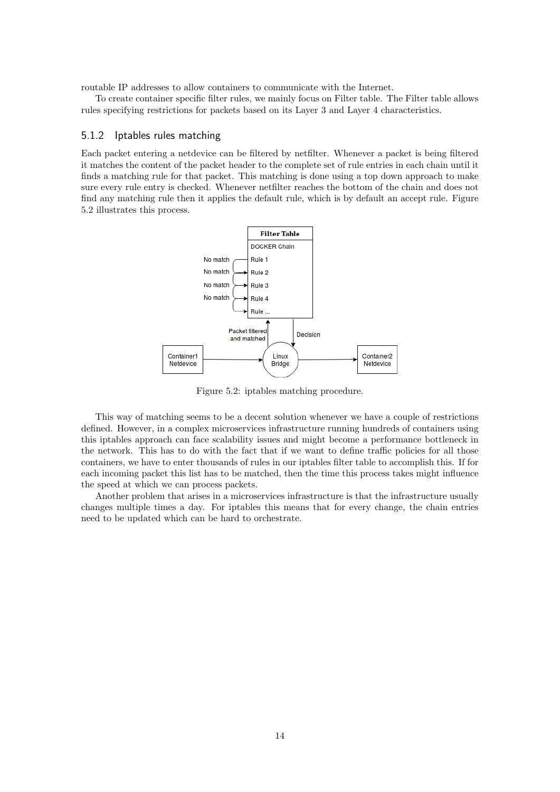routable IP addresses to allow containers to communicate with the Internet.

To create container specific filter rules, we mainly focus on Filter table. The Filter table allows rules specifying restrictions for packets based on its Layer 3 and Layer 4 characteristics.

#### <span id="page-14-0"></span>5.1.2 Iptables rules matching

Each packet entering a netdevice can be filtered by netfilter. Whenever a packet is being filtered it matches the content of the packet header to the complete set of rule entries in each chain until it finds a matching rule for that packet. This matching is done using a top down approach to make sure every rule entry is checked. Whenever netfilter reaches the bottom of the chain and does not find any matching rule then it applies the default rule, which is by default an accept rule. Figure [5.2](#page-14-1) illustrates this process.

<span id="page-14-1"></span>

Figure 5.2: iptables matching procedure.

This way of matching seems to be a decent solution whenever we have a couple of restrictions defined. However, in a complex microservices infrastructure running hundreds of containers using this iptables approach can face scalability issues and might become a performance bottleneck in the network. This has to do with the fact that if we want to define traffic policies for all those containers, we have to enter thousands of rules in our iptables filter table to accomplish this. If for each incoming packet this list has to be matched, then the time this process takes might influence the speed at which we can process packets.

Another problem that arises in a microservices infrastructure is that the infrastructure usually changes multiple times a day. For iptables this means that for every change, the chain entries need to be updated which can be hard to orchestrate.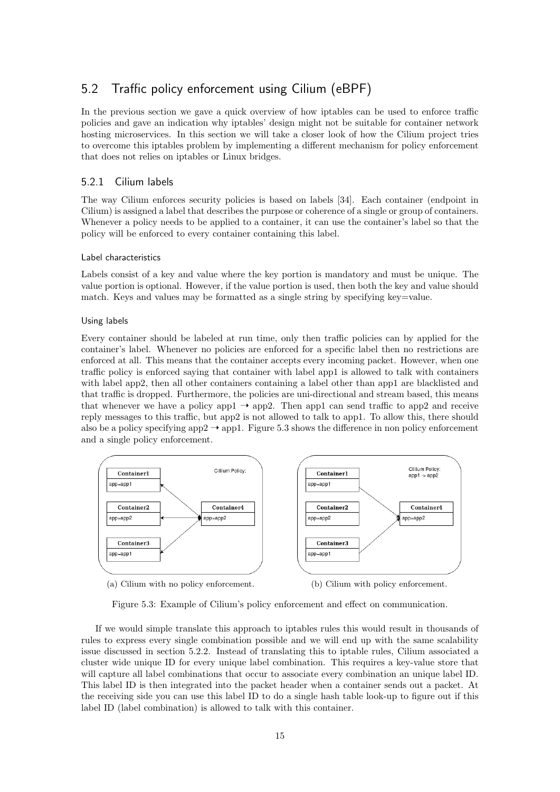## <span id="page-15-0"></span>5.2 Traffic policy enforcement using Cilium (eBPF)

In the previous section we gave a quick overview of how iptables can be used to enforce traffic policies and gave an indication why iptables' design might not be suitable for container network hosting microservices. In this section we will take a closer look of how the Cilium project tries to overcome this iptables problem by implementing a different mechanism for policy enforcement that does not relies on iptables or Linux bridges.

#### <span id="page-15-1"></span>5.2.1 Cilium labels

The way Cilium enforces security policies is based on labels [\[34\]](#page-34-0). Each container (endpoint in Cilium) is assigned a label that describes the purpose or coherence of a single or group of containers. Whenever a policy needs to be applied to a container, it can use the container's label so that the policy will be enforced to every container containing this label.

#### Label characteristics

Labels consist of a key and value where the key portion is mandatory and must be unique. The value portion is optional. However, if the value portion is used, then both the key and value should match. Keys and values may be formatted as a single string by specifying key=value.

#### Using labels

Every container should be labeled at run time, only then traffic policies can by applied for the container's label. Whenever no policies are enforced for a specific label then no restrictions are enforced at all. This means that the container accepts every incoming packet. However, when one traffic policy is enforced saying that container with label app1 is allowed to talk with containers with label app2, then all other containers containing a label other than app1 are blacklisted and that traffic is dropped. Furthermore, the policies are uni-directional and stream based, this means that whenever we have a policy app1  $\rightarrow$  app2. Then app1 can send traffic to app2 and receive reply messages to this traffic, but app2 is not allowed to talk to app1. To allow this, there should also be a policy specifying app2  $\rightarrow$  app1. Figure [5.3](#page-15-2) shows the difference in non policy enforcement and a single policy enforcement.

<span id="page-15-2"></span>

Figure 5.3: Example of Cilium's policy enforcement and effect on communication.

If we would simple translate this approach to iptables rules this would result in thousands of rules to express every single combination possible and we will end up with the same scalability issue discussed in section 5.2.2. Instead of translating this to iptable rules, Cilium associated a cluster wide unique ID for every unique label combination. This requires a key-value store that will capture all label combinations that occur to associate every combination an unique label ID. This label ID is then integrated into the packet header when a container sends out a packet. At the receiving side you can use this label ID to do a single hash table look-up to figure out if this label ID (label combination) is allowed to talk with this container.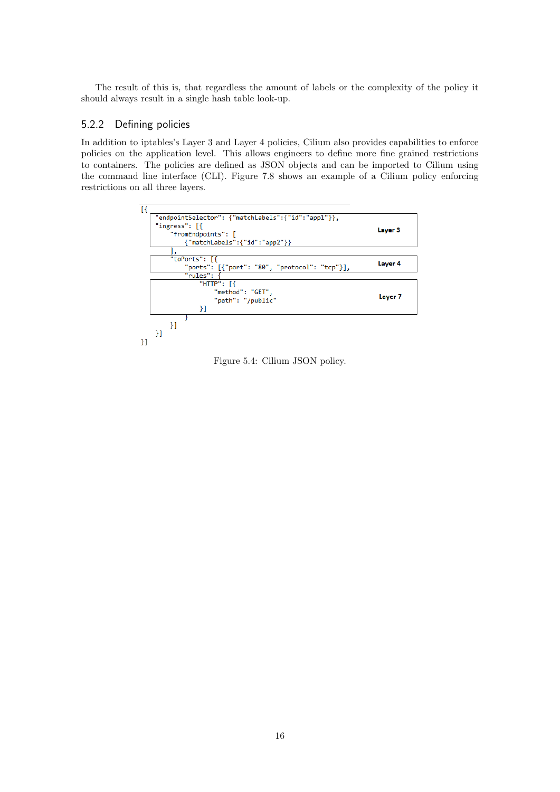The result of this is, that regardless the amount of labels or the complexity of the policy it should always result in a single hash table look-up.

#### <span id="page-16-0"></span>5.2.2 Defining policies

In addition to iptables's Layer 3 and Layer 4 policies, Cilium also provides capabilities to enforce policies on the application level. This allows engineers to define more fine grained restrictions to containers. The policies are defined as JSON objects and can be imported to Cilium using the command line interface (CLI). Figure [7.8](#page-25-0) shows an example of a Cilium policy enforcing restrictions on all three layers.



Figure 5.4: Cilium JSON policy.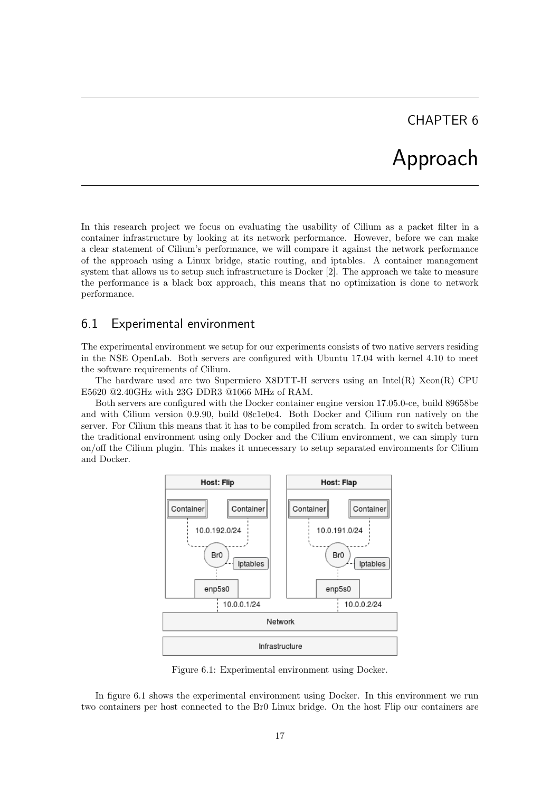## Approach

<span id="page-17-0"></span>In this research project we focus on evaluating the usability of Cilium as a packet filter in a container infrastructure by looking at its network performance. However, before we can make a clear statement of Cilium's performance, we will compare it against the network performance of the approach using a Linux bridge, static routing, and iptables. A container management system that allows us to setup such infrastructure is Docker [\[2\]](#page-32-1). The approach we take to measure the performance is a black box approach, this means that no optimization is done to network performance.

### <span id="page-17-1"></span>6.1 Experimental environment

The experimental environment we setup for our experiments consists of two native servers residing in the NSE OpenLab. Both servers are configured with Ubuntu 17.04 with kernel 4.10 to meet the software requirements of Cilium.

The hardware used are two Supermicro  $X8DTT-H$  servers using an Intel(R)  $Xeon(R)$  CPU E5620 @2.40GHz with 23G DDR3 @1066 MHz of RAM.

<span id="page-17-2"></span>Both servers are configured with the Docker container engine version 17.05.0-ce, build 89658be and with Cilium version 0.9.90, build 08c1e0c4. Both Docker and Cilium run natively on the server. For Cilium this means that it has to be compiled from scratch. In order to switch between the traditional environment using only Docker and the Cilium environment, we can simply turn on/off the Cilium plugin. This makes it unnecessary to setup separated environments for Cilium and Docker.



Figure 6.1: Experimental environment using Docker.

In figure [6.1](#page-17-2) shows the experimental environment using Docker. In this environment we run two containers per host connected to the Br0 Linux bridge. On the host Flip our containers are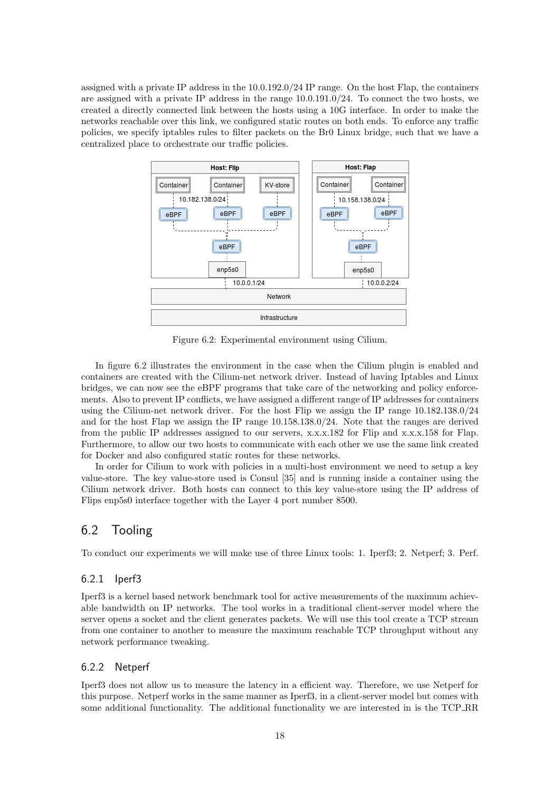assigned with a private IP address in the 10.0.192.0/24 IP range. On the host Flap, the containers are assigned with a private IP address in the range 10.0.191.0/24. To connect the two hosts, we created a directly connected link between the hosts using a 10G interface. In order to make the networks reachable over this link, we configured static routes on both ends. To enforce any traffic policies, we specify iptables rules to filter packets on the Br0 Linux bridge, such that we have a centralized place to orchestrate our traffic policies.

<span id="page-18-3"></span>

Figure 6.2: Experimental environment using Cilium.

In figure [6.2](#page-18-3) illustrates the environment in the case when the Cilium plugin is enabled and containers are created with the Cilium-net network driver. Instead of having Iptables and Linux bridges, we can now see the eBPF programs that take care of the networking and policy enforcements. Also to prevent IP conflicts, we have assigned a different range of IP addresses for containers using the Cilium-net network driver. For the host Flip we assign the IP range 10.182.138.0/24 and for the host Flap we assign the IP range 10.158.138.0/24. Note that the ranges are derived from the public IP addresses assigned to our servers, x.x.x.182 for Flip and x.x.x.158 for Flap. Furthermore, to allow our two hosts to communicate with each other we use the same link created for Docker and also configured static routes for these networks.

In order for Cilium to work with policies in a multi-host environment we need to setup a key value-store. The key value-store used is Consul [\[35\]](#page-34-1) and is running inside a container using the Cilium network driver. Both hosts can connect to this key value-store using the IP address of Flips enp5s0 interface together with the Layer 4 port number 8500.

## <span id="page-18-0"></span>6.2 Tooling

To conduct our experiments we will make use of three Linux tools: 1. Iperf3; 2. Netperf; 3. Perf.

#### <span id="page-18-1"></span>6.2.1 Iperf3

Iperf3 is a kernel based network benchmark tool for active measurements of the maximum achievable bandwidth on IP networks. The tool works in a traditional client-server model where the server opens a socket and the client generates packets. We will use this tool create a TCP stream from one container to another to measure the maximum reachable TCP throughput without any network performance tweaking.

#### <span id="page-18-2"></span>6.2.2 Netperf

Iperf3 does not allow us to measure the latency in a efficient way. Therefore, we use Netperf for this purpose. Netperf works in the same manner as Iperf3, in a client-server model but comes with some additional functionality. The additional functionality we are interested in is the TCP RR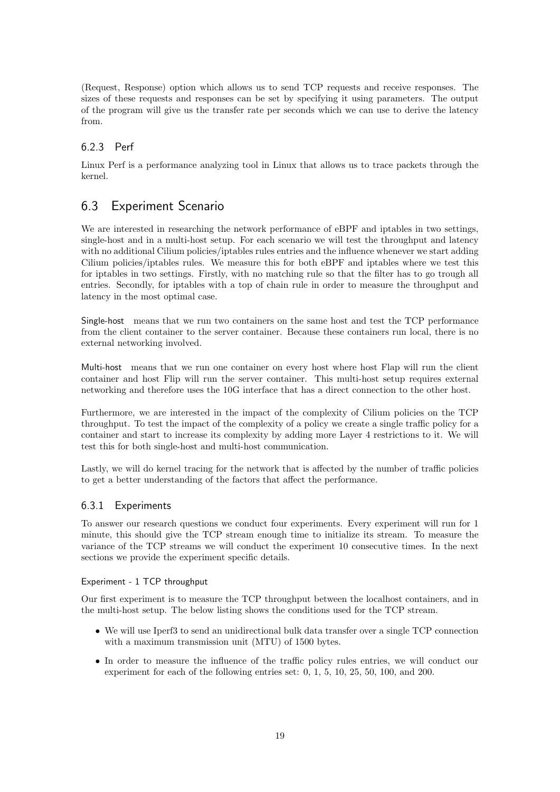(Request, Response) option which allows us to send TCP requests and receive responses. The sizes of these requests and responses can be set by specifying it using parameters. The output of the program will give us the transfer rate per seconds which we can use to derive the latency from.

#### <span id="page-19-0"></span>6.2.3 Perf

Linux Perf is a performance analyzing tool in Linux that allows us to trace packets through the kernel.

## <span id="page-19-1"></span>6.3 Experiment Scenario

We are interested in researching the network performance of eBPF and iptables in two settings, single-host and in a multi-host setup. For each scenario we will test the throughput and latency with no additional Cilium policies/iptables rules entries and the influence whenever we start adding Cilium policies/iptables rules. We measure this for both eBPF and iptables where we test this for iptables in two settings. Firstly, with no matching rule so that the filter has to go trough all entries. Secondly, for iptables with a top of chain rule in order to measure the throughput and latency in the most optimal case.

Single-host means that we run two containers on the same host and test the TCP performance from the client container to the server container. Because these containers run local, there is no external networking involved.

Multi-host means that we run one container on every host where host Flap will run the client container and host Flip will run the server container. This multi-host setup requires external networking and therefore uses the 10G interface that has a direct connection to the other host.

Furthermore, we are interested in the impact of the complexity of Cilium policies on the TCP throughput. To test the impact of the complexity of a policy we create a single traffic policy for a container and start to increase its complexity by adding more Layer 4 restrictions to it. We will test this for both single-host and multi-host communication.

Lastly, we will do kernel tracing for the network that is affected by the number of traffic policies to get a better understanding of the factors that affect the performance.

#### <span id="page-19-2"></span>6.3.1 Experiments

To answer our research questions we conduct four experiments. Every experiment will run for 1 minute, this should give the TCP stream enough time to initialize its stream. To measure the variance of the TCP streams we will conduct the experiment 10 consecutive times. In the next sections we provide the experiment specific details.

Experiment - 1 TCP throughput

Our first experiment is to measure the TCP throughput between the localhost containers, and in the multi-host setup. The below listing shows the conditions used for the TCP stream.

- We will use Iperf3 to send an unidirectional bulk data transfer over a single TCP connection with a maximum transmission unit (MTU) of 1500 bytes.
- In order to measure the influence of the traffic policy rules entries, we will conduct our experiment for each of the following entries set: 0, 1, 5, 10, 25, 50, 100, and 200.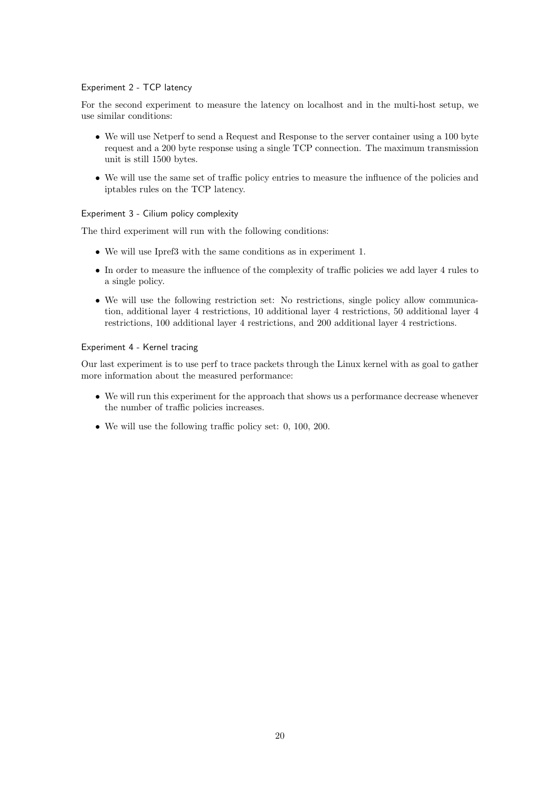#### Experiment 2 - TCP latency

For the second experiment to measure the latency on localhost and in the multi-host setup, we use similar conditions:

- We will use Netperf to send a Request and Response to the server container using a 100 byte request and a 200 byte response using a single TCP connection. The maximum transmission unit is still 1500 bytes.
- We will use the same set of traffic policy entries to measure the influence of the policies and iptables rules on the TCP latency.

#### Experiment 3 - Cilium policy complexity

The third experiment will run with the following conditions:

- We will use Ipref3 with the same conditions as in experiment 1.
- In order to measure the influence of the complexity of traffic policies we add layer 4 rules to a single policy.
- We will use the following restriction set: No restrictions, single policy allow communication, additional layer 4 restrictions, 10 additional layer 4 restrictions, 50 additional layer 4 restrictions, 100 additional layer 4 restrictions, and 200 additional layer 4 restrictions.

#### Experiment 4 - Kernel tracing

Our last experiment is to use perf to trace packets through the Linux kernel with as goal to gather more information about the measured performance:

- We will run this experiment for the approach that shows us a performance decrease whenever the number of traffic policies increases.
- We will use the following traffic policy set: 0, 100, 200.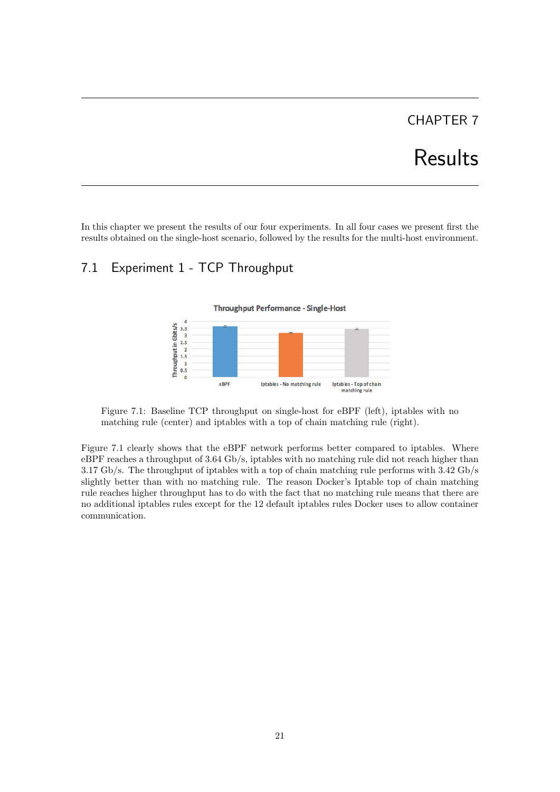# Results

<span id="page-21-0"></span>In this chapter we present the results of our four experiments. In all four cases we present first the results obtained on the single-host scenario, followed by the results for the multi-host environment.

## <span id="page-21-2"></span><span id="page-21-1"></span>7.1 Experiment 1 - TCP Throughput



**Throughput Performance - Single-Host** 

Figure 7.1: Baseline TCP throughput on single-host for eBPF (left), iptables with no matching rule (center) and iptables with a top of chain matching rule (right).

Figure [7.1](#page-21-2) clearly shows that the eBPF network performs better compared to iptables. Where eBPF reaches a throughput of 3.64 Gb/s, iptables with no matching rule did not reach higher than 3.17 Gb/s. The throughput of iptables with a top of chain matching rule performs with 3.42 Gb/s slightly better than with no matching rule. The reason Docker's Iptable top of chain matching rule reaches higher throughput has to do with the fact that no matching rule means that there are no additional iptables rules except for the 12 default iptables rules Docker uses to allow container communication.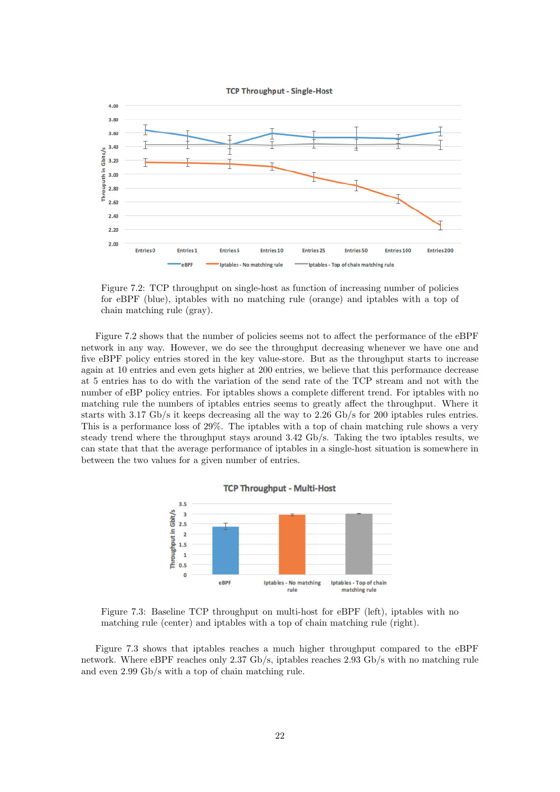

<span id="page-22-0"></span>

Figure 7.2: TCP throughput on single-host as function of increasing number of policies for eBPF (blue), iptables with no matching rule (orange) and iptables with a top of chain matching rule (gray).

Figure [7.2](#page-22-0) shows that the number of policies seems not to affect the performance of the eBPF network in any way. However, we do see the throughput decreasing whenever we have one and five eBPF policy entries stored in the key value-store. But as the throughput starts to increase again at 10 entries and even gets higher at 200 entries, we believe that this performance decrease at 5 entries has to do with the variation of the send rate of the TCP stream and not with the number of eBP policy entries. For iptables shows a complete different trend. For iptables with no matching rule the numbers of iptables entries seems to greatly affect the throughput. Where it starts with 3.17 Gb/s it keeps decreasing all the way to 2.26 Gb/s for 200 iptables rules entries. This is a performance loss of 29%. The iptables with a top of chain matching rule shows a very steady trend where the throughput stays around 3.42 Gb/s. Taking the two iptables results, we can state that that the average performance of iptables in a single-host situation is somewhere in between the two values for a given number of entries.

<span id="page-22-1"></span>

Figure 7.3: Baseline TCP throughput on multi-host for eBPF (left), iptables with no matching rule (center) and iptables with a top of chain matching rule (right).

Figure [7.3](#page-22-1) shows that iptables reaches a much higher throughput compared to the eBPF network. Where eBPF reaches only 2.37 Gb/s, iptables reaches 2.93 Gb/s with no matching rule and even 2.99 Gb/s with a top of chain matching rule.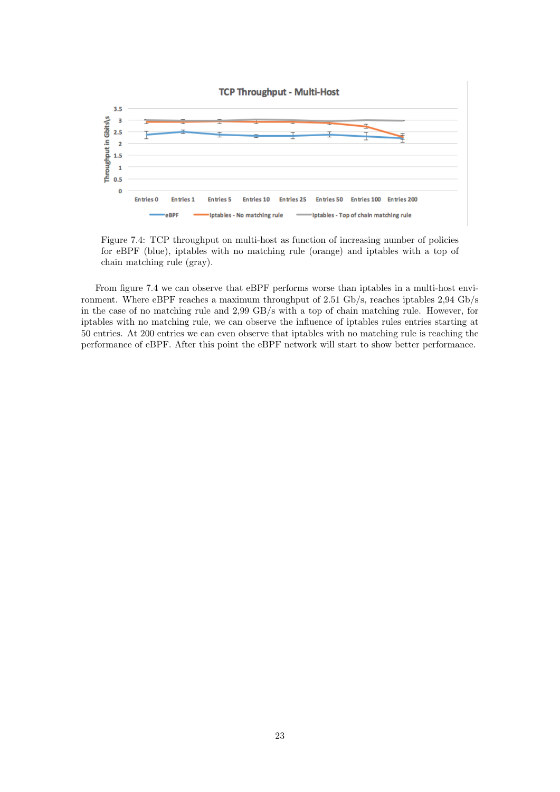<span id="page-23-0"></span>

Figure 7.4: TCP throughput on multi-host as function of increasing number of policies for eBPF (blue), iptables with no matching rule (orange) and iptables with a top of chain matching rule (gray).

From figure [7.4](#page-23-0) we can observe that eBPF performs worse than iptables in a multi-host environment. Where eBPF reaches a maximum throughput of 2.51 Gb/s, reaches iptables 2,94 Gb/s in the case of no matching rule and 2,99 GB/s with a top of chain matching rule. However, for iptables with no matching rule, we can observe the influence of iptables rules entries starting at 50 entries. At 200 entries we can even observe that iptables with no matching rule is reaching the performance of eBPF. After this point the eBPF network will start to show better performance.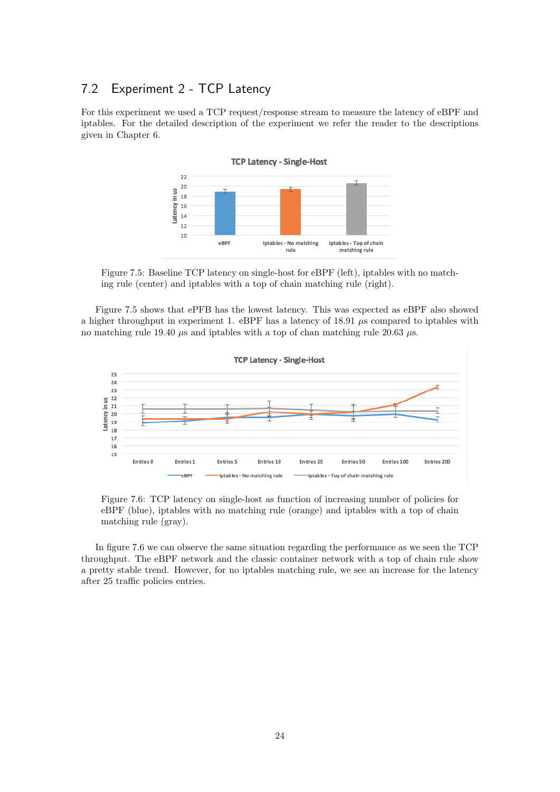## <span id="page-24-0"></span>7.2 Experiment 2 - TCP Latency

<span id="page-24-1"></span>For this experiment we used a TCP request/response stream to measure the latency of eBPF and iptables. For the detailed description of the experiment we refer the reader to the descriptions given in Chapter 6.



Figure 7.5: Baseline TCP latency on single-host for eBPF (left), iptables with no matching rule (center) and iptables with a top of chain matching rule (right).

Figure [7.5](#page-24-1) shows that ePFB has the lowest latency. This was expected as eBPF also showed a higher throughput in experiment 1. eBPF has a latency of 18.91  $\mu$ s compared to iptables with no matching rule 19.40  $\mu$ s and iptables with a top of chan matching rule 20.63  $\mu$ s.

<span id="page-24-2"></span>

Figure 7.6: TCP latency on single-host as function of increasing number of policies for eBPF (blue), iptables with no matching rule (orange) and iptables with a top of chain matching rule (gray).

In figure [7.6](#page-24-2) we can observe the same situation regarding the performance as we seen the TCP throughput. The eBPF network and the classic container network with a top of chain rule show a pretty stable trend. However, for no iptables matching rule, we see an increase for the latency after 25 traffic policies entries.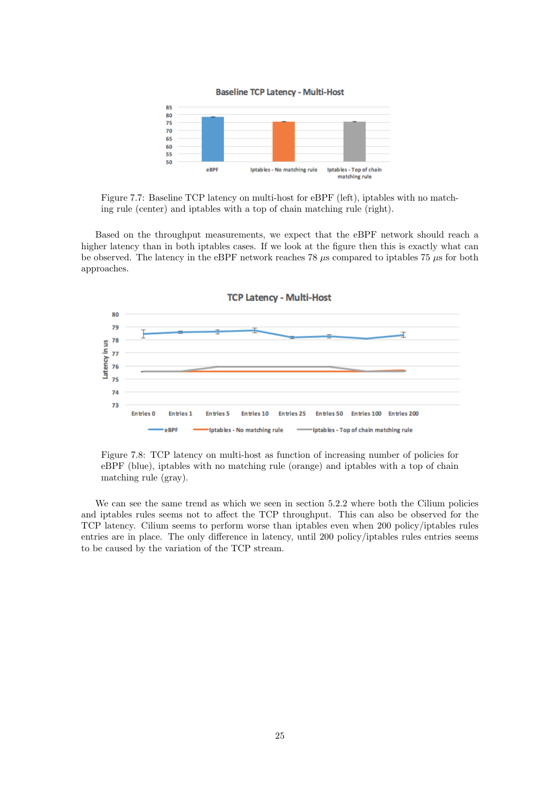

Figure 7.7: Baseline TCP latency on multi-host for eBPF (left), iptables with no matching rule (center) and iptables with a top of chain matching rule (right).

Based on the throughput measurements, we expect that the eBPF network should reach a higher latency than in both iptables cases. If we look at the figure then this is exactly what can be observed. The latency in the eBPF network reaches 78  $\mu$ s compared to iptables 75  $\mu$ s for both approaches.

<span id="page-25-0"></span>

Figure 7.8: TCP latency on multi-host as function of increasing number of policies for eBPF (blue), iptables with no matching rule (orange) and iptables with a top of chain matching rule (gray).

We can see the same trend as which we seen in section 5.2.2 where both the Cilium policies and iptables rules seems not to affect the TCP throughput. This can also be observed for the TCP latency. Cilium seems to perform worse than iptables even when 200 policy/iptables rules entries are in place. The only difference in latency, until 200 policy/iptables rules entries seems to be caused by the variation of the TCP stream.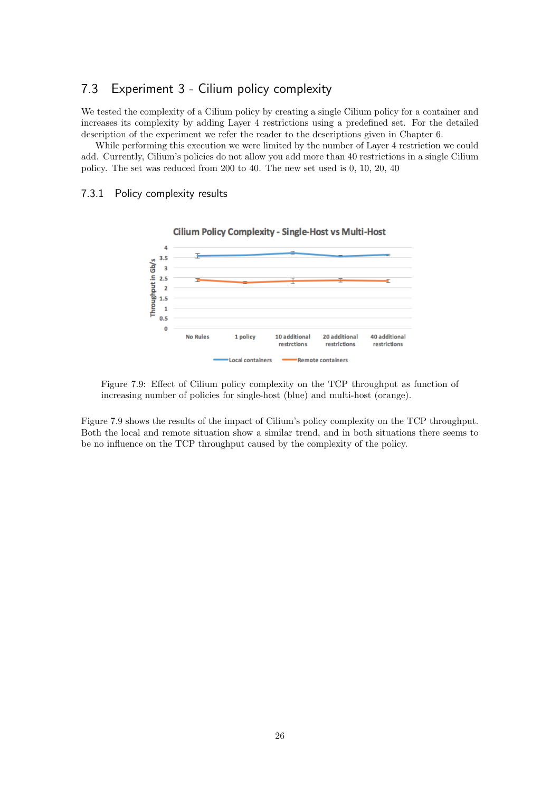### <span id="page-26-0"></span>7.3 Experiment 3 - Cilium policy complexity

We tested the complexity of a Cilium policy by creating a single Cilium policy for a container and increases its complexity by adding Layer 4 restrictions using a predefined set. For the detailed description of the experiment we refer the reader to the descriptions given in Chapter 6.

While performing this execution we were limited by the number of Layer 4 restriction we could add. Currently, Cilium's policies do not allow you add more than 40 restrictions in a single Cilium policy. The set was reduced from 200 to 40. The new set used is 0, 10, 20, 40

**Cilium Policy Complexity - Single-Host vs Multi-Host** 

#### <span id="page-26-2"></span><span id="page-26-1"></span>7.3.1 Policy complexity results





Figure 7.9: Effect of Cilium policy complexity on the TCP throughput as function of increasing number of policies for single-host (blue) and multi-host (orange).

Figure [7.9](#page-26-2) shows the results of the impact of Cilium's policy complexity on the TCP throughput. Both the local and remote situation show a similar trend, and in both situations there seems to be no influence on the TCP throughput caused by the complexity of the policy.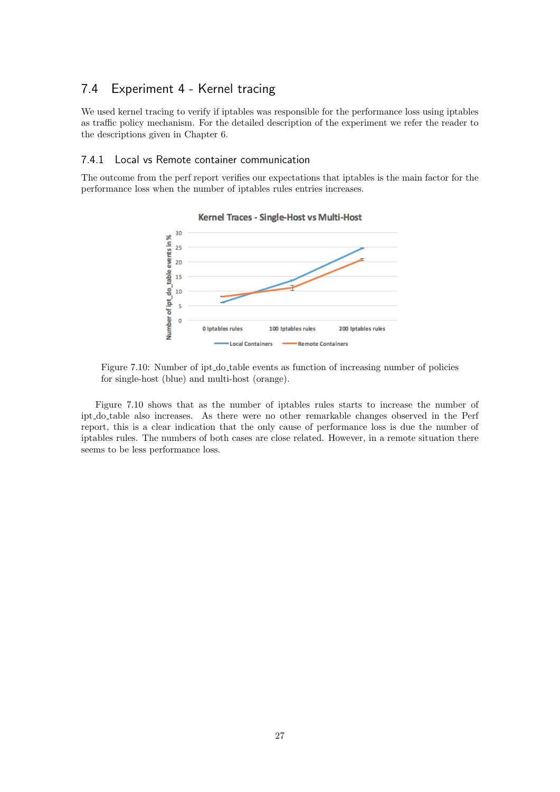## <span id="page-27-0"></span>7.4 Experiment 4 - Kernel tracing

We used kernel tracing to verify if iptables was responsible for the performance loss using iptables as traffic policy mechanism. For the detailed description of the experiment we refer the reader to the descriptions given in Chapter 6.

#### <span id="page-27-1"></span>7.4.1 Local vs Remote container communication

<span id="page-27-2"></span>The outcome from the perf report verifies our expectations that iptables is the main factor for the performance loss when the number of iptables rules entries increases.



Kernel Traces - Single-Host vs Multi-Host

Figure [7.10](#page-27-2) shows that as the number of iptables rules starts to increase the number of ipt do table also increases. As there were no other remarkable changes observed in the Perf report, this is a clear indication that the only cause of performance loss is due the number of iptables rules. The numbers of both cases are close related. However, in a remote situation there seems to be less performance loss.

Figure 7.10: Number of ipt do table events as function of increasing number of policies for single-host (blue) and multi-host (orange).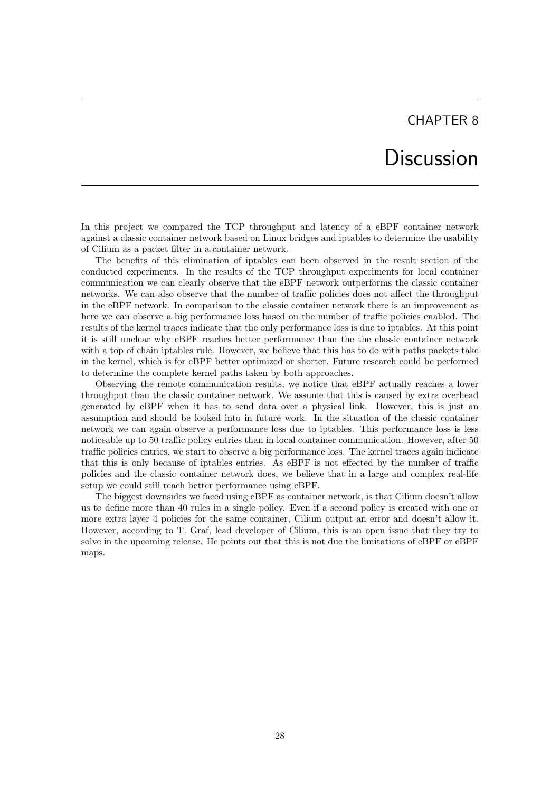## **Discussion**

<span id="page-28-0"></span>In this project we compared the TCP throughput and latency of a eBPF container network against a classic container network based on Linux bridges and iptables to determine the usability of Cilium as a packet filter in a container network.

The benefits of this elimination of iptables can been observed in the result section of the conducted experiments. In the results of the TCP throughput experiments for local container communication we can clearly observe that the eBPF network outperforms the classic container networks. We can also observe that the number of traffic policies does not affect the throughput in the eBPF network. In comparison to the classic container network there is an improvement as here we can observe a big performance loss based on the number of traffic policies enabled. The results of the kernel traces indicate that the only performance loss is due to iptables. At this point it is still unclear why eBPF reaches better performance than the the classic container network with a top of chain iptables rule. However, we believe that this has to do with paths packets take in the kernel, which is for eBPF better optimized or shorter. Future research could be performed to determine the complete kernel paths taken by both approaches.

Observing the remote communication results, we notice that eBPF actually reaches a lower throughput than the classic container network. We assume that this is caused by extra overhead generated by eBPF when it has to send data over a physical link. However, this is just an assumption and should be looked into in future work. In the situation of the classic container network we can again observe a performance loss due to iptables. This performance loss is less noticeable up to 50 traffic policy entries than in local container communication. However, after 50 traffic policies entries, we start to observe a big performance loss. The kernel traces again indicate that this is only because of iptables entries. As eBPF is not effected by the number of traffic policies and the classic container network does, we believe that in a large and complex real-life setup we could still reach better performance using eBPF.

The biggest downsides we faced using eBPF as container network, is that Cilium doesn't allow us to define more than 40 rules in a single policy. Even if a second policy is created with one or more extra layer 4 policies for the same container, Cilium output an error and doesn't allow it. However, according to T. Graf, lead developer of Cilium, this is an open issue that they try to solve in the upcoming release. He points out that this is not due the limitations of eBPF or eBPF maps.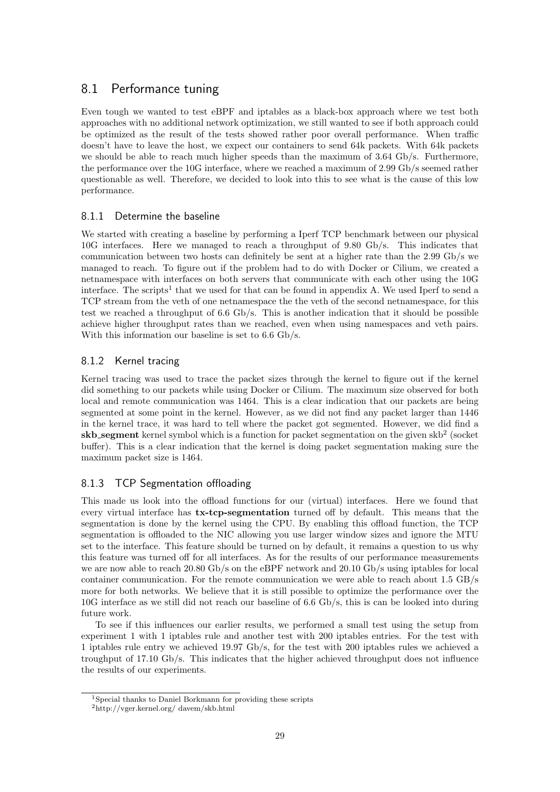## <span id="page-29-0"></span>8.1 Performance tuning

Even tough we wanted to test eBPF and iptables as a black-box approach where we test both approaches with no additional network optimization, we still wanted to see if both approach could be optimized as the result of the tests showed rather poor overall performance. When traffic doesn't have to leave the host, we expect our containers to send 64k packets. With 64k packets we should be able to reach much higher speeds than the maximum of 3.64 Gb/s. Furthermore, the performance over the 10G interface, where we reached a maximum of 2.99 Gb/s seemed rather questionable as well. Therefore, we decided to look into this to see what is the cause of this low performance.

#### <span id="page-29-1"></span>8.1.1 Determine the baseline

We started with creating a baseline by performing a Iperf TCP benchmark between our physical 10G interfaces. Here we managed to reach a throughput of 9.80 Gb/s. This indicates that communication between two hosts can definitely be sent at a higher rate than the 2.99 Gb/s we managed to reach. To figure out if the problem had to do with Docker or Cilium, we created a netnamespace with interfaces on both servers that communicate with each other using the 10G interface. The scripts<sup>[1](#page-29-4)</sup> that we used for that can be found in appendix A. We used Iperf to send a TCP stream from the veth of one netnamespace the the veth of the second netnamespace, for this test we reached a throughput of 6.6 Gb/s. This is another indication that it should be possible achieve higher throughput rates than we reached, even when using namespaces and veth pairs. With this information our baseline is set to 6.6 Gb/s.

### <span id="page-29-2"></span>8.1.2 Kernel tracing

Kernel tracing was used to trace the packet sizes through the kernel to figure out if the kernel did something to our packets while using Docker or Cilium. The maximum size observed for both local and remote communication was 1464. This is a clear indication that our packets are being segmented at some point in the kernel. However, as we did not find any packet larger than 1446 in the kernel trace, it was hard to tell where the packet got segmented. However, we did find a  $\mathbf{skb}\_ \mathbf{segment}$  kernel symbol which is a function for packet segmentation on the given  $\mathrm{skb}^2$  $\mathrm{skb}^2$  (socket buffer). This is a clear indication that the kernel is doing packet segmentation making sure the maximum packet size is 1464.

### <span id="page-29-3"></span>8.1.3 TCP Segmentation offloading

This made us look into the offload functions for our (virtual) interfaces. Here we found that every virtual interface has tx-tcp-segmentation turned off by default. This means that the segmentation is done by the kernel using the CPU. By enabling this offload function, the TCP segmentation is offloaded to the NIC allowing you use larger window sizes and ignore the MTU set to the interface. This feature should be turned on by default, it remains a question to us why this feature was turned off for all interfaces. As for the results of our performance measurements we are now able to reach 20.80 Gb/s on the eBPF network and 20.10 Gb/s using iptables for local container communication. For the remote communication we were able to reach about 1.5 GB/s more for both networks. We believe that it is still possible to optimize the performance over the 10G interface as we still did not reach our baseline of 6.6 Gb/s, this is can be looked into during future work.

To see if this influences our earlier results, we performed a small test using the setup from experiment 1 with 1 iptables rule and another test with 200 iptables entries. For the test with 1 iptables rule entry we achieved 19.97 Gb/s, for the test with 200 iptables rules we achieved a troughput of 17.10 Gb/s. This indicates that the higher achieved throughput does not influence the results of our experiments.

<span id="page-29-5"></span><span id="page-29-4"></span><sup>1</sup>Special thanks to Daniel Borkmann for providing these scripts <sup>2</sup>http://vger.kernel.org/ davem/skb.html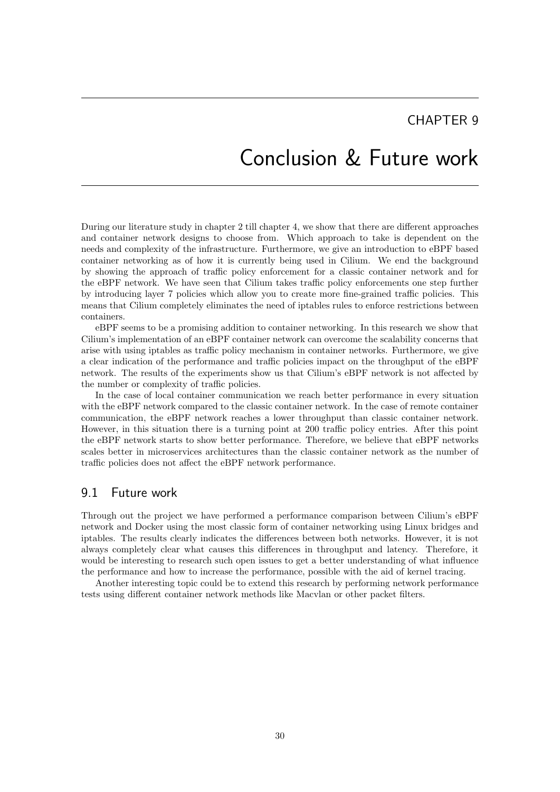## Conclusion & Future work

<span id="page-30-0"></span>During our literature study in chapter 2 till chapter 4, we show that there are different approaches and container network designs to choose from. Which approach to take is dependent on the needs and complexity of the infrastructure. Furthermore, we give an introduction to eBPF based container networking as of how it is currently being used in Cilium. We end the background by showing the approach of traffic policy enforcement for a classic container network and for the eBPF network. We have seen that Cilium takes traffic policy enforcements one step further by introducing layer 7 policies which allow you to create more fine-grained traffic policies. This means that Cilium completely eliminates the need of iptables rules to enforce restrictions between containers.

eBPF seems to be a promising addition to container networking. In this research we show that Cilium's implementation of an eBPF container network can overcome the scalability concerns that arise with using iptables as traffic policy mechanism in container networks. Furthermore, we give a clear indication of the performance and traffic policies impact on the throughput of the eBPF network. The results of the experiments show us that Cilium's eBPF network is not affected by the number or complexity of traffic policies.

In the case of local container communication we reach better performance in every situation with the eBPF network compared to the classic container network. In the case of remote container communication, the eBPF network reaches a lower throughput than classic container network. However, in this situation there is a turning point at 200 traffic policy entries. After this point the eBPF network starts to show better performance. Therefore, we believe that eBPF networks scales better in microservices architectures than the classic container network as the number of traffic policies does not affect the eBPF network performance.

### <span id="page-30-1"></span>9.1 Future work

Through out the project we have performed a performance comparison between Cilium's eBPF network and Docker using the most classic form of container networking using Linux bridges and iptables. The results clearly indicates the differences between both networks. However, it is not always completely clear what causes this differences in throughput and latency. Therefore, it would be interesting to research such open issues to get a better understanding of what influence the performance and how to increase the performance, possible with the aid of kernel tracing.

Another interesting topic could be to extend this research by performing network performance tests using different container network methods like Macvlan or other packet filters.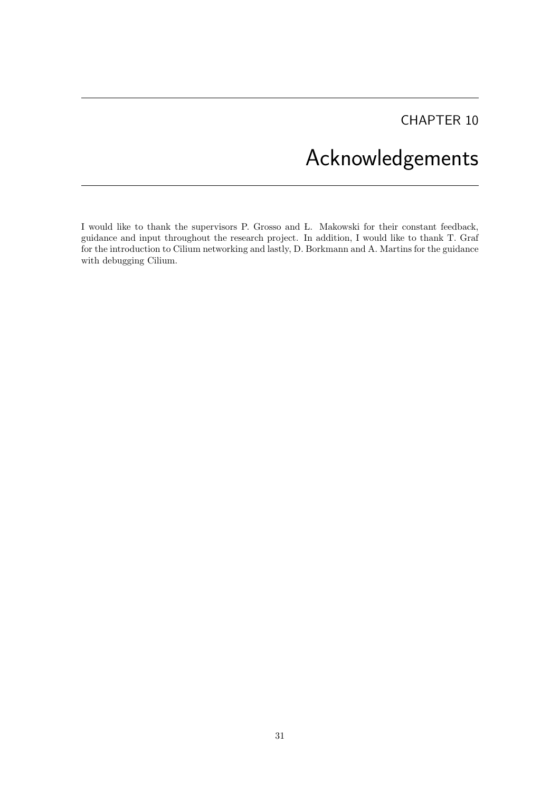# Acknowledgements

<span id="page-31-0"></span>I would like to thank the supervisors P. Grosso and L. Makowski for their constant feedback, guidance and input throughout the research project. In addition, I would like to thank T. Graf for the introduction to Cilium networking and lastly, D. Borkmann and A. Martins for the guidance with debugging Cilium.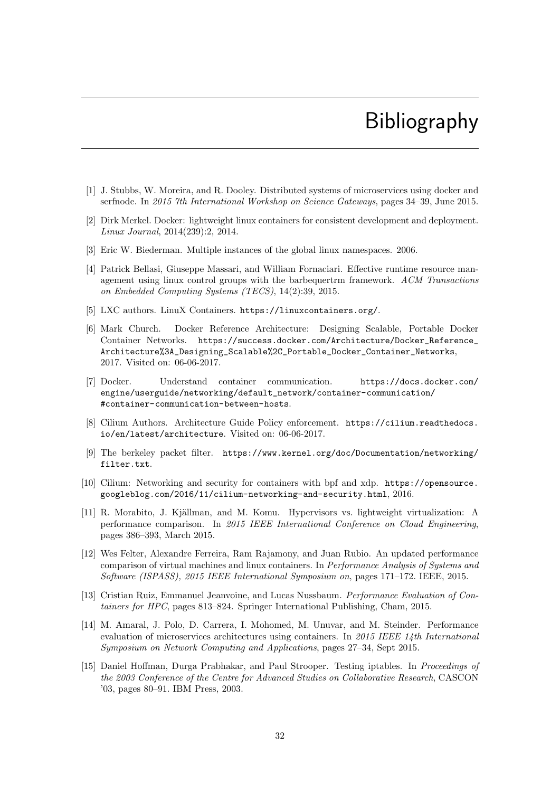# Bibliography

- <span id="page-32-0"></span>[1] J. Stubbs, W. Moreira, and R. Dooley. Distributed systems of microservices using docker and serfnode. In 2015 7th International Workshop on Science Gateways, pages 34–39, June 2015.
- <span id="page-32-1"></span>[2] Dirk Merkel. Docker: lightweight linux containers for consistent development and deployment. Linux Journal, 2014(239):2, 2014.
- <span id="page-32-2"></span>[3] Eric W. Biederman. Multiple instances of the global linux namespaces. 2006.
- <span id="page-32-3"></span>[4] Patrick Bellasi, Giuseppe Massari, and William Fornaciari. Effective runtime resource management using linux control groups with the barbequertrm framework. ACM Transactions on Embedded Computing Systems (TECS), 14(2):39, 2015.
- <span id="page-32-4"></span>[5] LXC authors. LinuX Containers. <https://linuxcontainers.org/>.
- <span id="page-32-5"></span>[6] Mark Church. Docker Reference Architecture: Designing Scalable, Portable Docker Container Networks. [https://success.docker.com/Architecture/Docker\\_Reference\\_](https://success.docker.com/Architecture/Docker_Reference_Architecture%3A_Designing_Scalable%2C_Portable_Docker_Container_Networks) [Architecture%3A\\_Designing\\_Scalable%2C\\_Portable\\_Docker\\_Container\\_Networks](https://success.docker.com/Architecture/Docker_Reference_Architecture%3A_Designing_Scalable%2C_Portable_Docker_Container_Networks), 2017. Visited on: 06-06-2017.
- <span id="page-32-6"></span>[7] Docker. Understand container communication. [https://docs.docker.com/](https://docs.docker.com/engine/userguide/networking/default_network/container-communication/#container-communication-between-hosts) [engine/userguide/networking/default\\_network/container-communication/](https://docs.docker.com/engine/userguide/networking/default_network/container-communication/#container-communication-between-hosts) [#container-communication-between-hosts](https://docs.docker.com/engine/userguide/networking/default_network/container-communication/#container-communication-between-hosts).
- <span id="page-32-7"></span>[8] Cilium Authors. Architecture Guide Policy enforcement. [https://cilium.readthedocs.](https://cilium.readthedocs.io/en/latest/architecture) [io/en/latest/architecture](https://cilium.readthedocs.io/en/latest/architecture). Visited on: 06-06-2017.
- <span id="page-32-8"></span>[9] The berkeley packet filter. [https://www.kernel.org/doc/Documentation/networking/](https://www.kernel.org/doc/Documentation/networking/filter.txt) [filter.txt](https://www.kernel.org/doc/Documentation/networking/filter.txt).
- <span id="page-32-9"></span>[10] Cilium: Networking and security for containers with bpf and xdp. [https://opensource.](https://opensource.googleblog.com/2016/11/cilium-networking-and-security.html) [googleblog.com/2016/11/cilium-networking-and-security.html](https://opensource.googleblog.com/2016/11/cilium-networking-and-security.html), 2016.
- <span id="page-32-10"></span>[11] R. Morabito, J. Kjällman, and M. Komu. Hypervisors vs. lightweight virtualization: A performance comparison. In 2015 IEEE International Conference on Cloud Engineering, pages 386–393, March 2015.
- <span id="page-32-11"></span>[12] Wes Felter, Alexandre Ferreira, Ram Rajamony, and Juan Rubio. An updated performance comparison of virtual machines and linux containers. In Performance Analysis of Systems and Software (ISPASS), 2015 IEEE International Symposium on, pages 171–172. IEEE, 2015.
- <span id="page-32-12"></span>[13] Cristian Ruiz, Emmanuel Jeanvoine, and Lucas Nussbaum. Performance Evaluation of Containers for HPC, pages 813–824. Springer International Publishing, Cham, 2015.
- <span id="page-32-13"></span>[14] M. Amaral, J. Polo, D. Carrera, I. Mohomed, M. Unuvar, and M. Steinder. Performance evaluation of microservices architectures using containers. In 2015 IEEE 14th International Symposium on Network Computing and Applications, pages 27–34, Sept 2015.
- <span id="page-32-14"></span>[15] Daniel Hoffman, Durga Prabhakar, and Paul Strooper. Testing iptables. In Proceedings of the 2003 Conference of the Centre for Advanced Studies on Collaborative Research, CASCON '03, pages 80–91. IBM Press, 2003.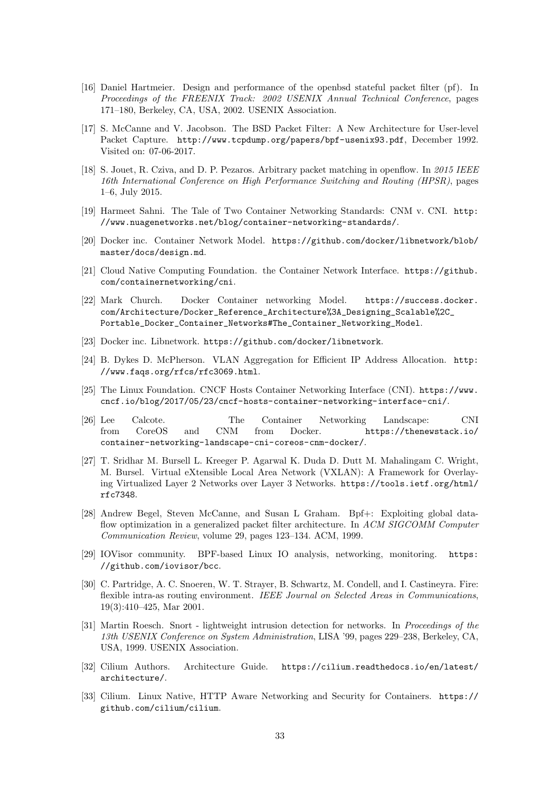- <span id="page-33-0"></span>[16] Daniel Hartmeier. Design and performance of the openbsd stateful packet filter (pf). In Proceedings of the FREENIX Track: 2002 USENIX Annual Technical Conference, pages 171–180, Berkeley, CA, USA, 2002. USENIX Association.
- <span id="page-33-1"></span>[17] S. McCanne and V. Jacobson. The BSD Packet Filter: A New Architecture for User-level Packet Capture. <http://www.tcpdump.org/papers/bpf-usenix93.pdf>, December 1992. Visited on: 07-06-2017.
- <span id="page-33-2"></span>[18] S. Jouet, R. Cziva, and D. P. Pezaros. Arbitrary packet matching in openflow. In 2015 IEEE 16th International Conference on High Performance Switching and Routing (HPSR), pages 1–6, July 2015.
- <span id="page-33-3"></span>[19] Harmeet Sahni. The Tale of Two Container Networking Standards: CNM v. CNI. [http:](http://www.nuagenetworks.net/blog/container-networking-standards/) [//www.nuagenetworks.net/blog/container-networking-standards/](http://www.nuagenetworks.net/blog/container-networking-standards/).
- <span id="page-33-4"></span>[20] Docker inc. Container Network Model. [https://github.com/docker/libnetwork/blob/](https://github.com/docker/libnetwork/blob/master/docs/design.md) [master/docs/design.md](https://github.com/docker/libnetwork/blob/master/docs/design.md).
- <span id="page-33-5"></span>[21] Cloud Native Computing Foundation. the Container Network Interface. [https://github.](https://github.com/containernetworking/cni) [com/containernetworking/cni](https://github.com/containernetworking/cni).
- <span id="page-33-6"></span>[22] Mark Church. Docker Container networking Model. [https://success.docker.](https://success.docker.com/Architecture/Docker_Reference_Architecture%3A_Designing_Scalable%2C_Portable_Docker_Container_Networks#The_Container_Networking_Model) [com/Architecture/Docker\\_Reference\\_Architecture%3A\\_Designing\\_Scalable%2C\\_](https://success.docker.com/Architecture/Docker_Reference_Architecture%3A_Designing_Scalable%2C_Portable_Docker_Container_Networks#The_Container_Networking_Model) [Portable\\_Docker\\_Container\\_Networks#The\\_Container\\_Networking\\_Model](https://success.docker.com/Architecture/Docker_Reference_Architecture%3A_Designing_Scalable%2C_Portable_Docker_Container_Networks#The_Container_Networking_Model).
- <span id="page-33-7"></span>[23] Docker inc. Libnetwork. <https://github.com/docker/libnetwork>.
- <span id="page-33-8"></span>[24] B. Dykes D. McPherson. VLAN Aggregation for Efficient IP Address Allocation. [http:](http://www.faqs.org/rfcs/rfc3069.html) [//www.faqs.org/rfcs/rfc3069.html](http://www.faqs.org/rfcs/rfc3069.html).
- <span id="page-33-9"></span>[25] The Linux Foundation. CNCF Hosts Container Networking Interface (CNI). [https://www.](https://www.cncf.io/blog/2017/05/23/cncf-hosts-container-networking-interface-cni/) [cncf.io/blog/2017/05/23/cncf-hosts-container-networking-interface-cni/](https://www.cncf.io/blog/2017/05/23/cncf-hosts-container-networking-interface-cni/).
- <span id="page-33-10"></span>[26] Lee Calcote. The Container Networking Landscape: CNI from CoreOS and CNM from Docker. [https://thenewstack.io/](https://thenewstack.io/container-networking-landscape-cni-coreos-cnm-docker/) [container-networking-landscape-cni-coreos-cnm-docker/](https://thenewstack.io/container-networking-landscape-cni-coreos-cnm-docker/).
- <span id="page-33-11"></span>[27] T. Sridhar M. Bursell L. Kreeger P. Agarwal K. Duda D. Dutt M. Mahalingam C. Wright, M. Bursel. Virtual eXtensible Local Area Network (VXLAN): A Framework for Overlaying Virtualized Layer 2 Networks over Layer 3 Networks. [https://tools.ietf.org/html/](https://tools.ietf.org/html/rfc7348) [rfc7348](https://tools.ietf.org/html/rfc7348).
- <span id="page-33-12"></span>[28] Andrew Begel, Steven McCanne, and Susan L Graham. Bpf+: Exploiting global dataflow optimization in a generalized packet filter architecture. In ACM SIGCOMM Computer Communication Review, volume 29, pages 123–134. ACM, 1999.
- <span id="page-33-13"></span>[29] IOVisor community. BPF-based Linux IO analysis, networking, monitoring. [https:](https://github.com/iovisor/bcc) [//github.com/iovisor/bcc](https://github.com/iovisor/bcc).
- <span id="page-33-14"></span>[30] C. Partridge, A. C. Snoeren, W. T. Strayer, B. Schwartz, M. Condell, and I. Castineyra. Fire: flexible intra-as routing environment. IEEE Journal on Selected Areas in Communications, 19(3):410–425, Mar 2001.
- <span id="page-33-15"></span>[31] Martin Roesch. Snort - lightweight intrusion detection for networks. In Proceedings of the 13th USENIX Conference on System Administration, LISA '99, pages 229–238, Berkeley, CA, USA, 1999. USENIX Association.
- <span id="page-33-16"></span>[32] Cilium Authors. Architecture Guide. [https://cilium.readthedocs.io/en/latest/](https://cilium.readthedocs.io/en/latest/architecture/) [architecture/](https://cilium.readthedocs.io/en/latest/architecture/).
- <span id="page-33-17"></span>[33] Cilium. Linux Native, HTTP Aware Networking and Security for Containers. [https://](https://github.com/cilium/cilium) [github.com/cilium/cilium](https://github.com/cilium/cilium).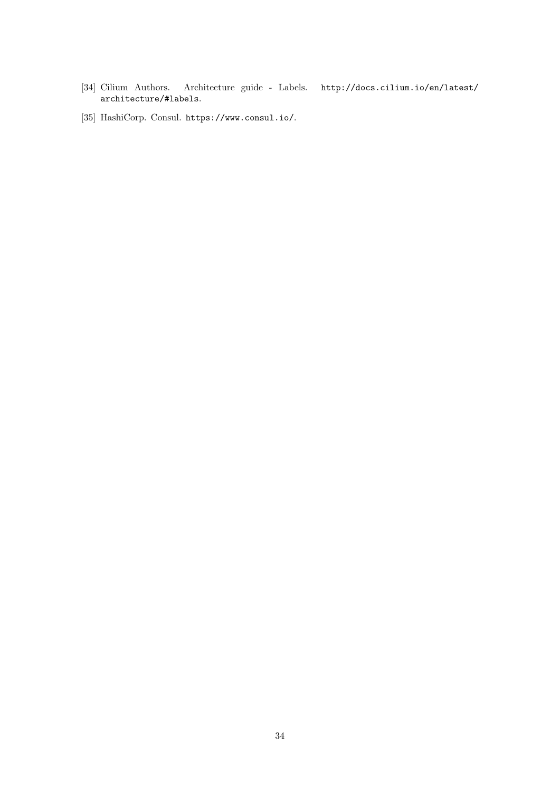- <span id="page-34-0"></span>[34] Cilium Authors. Architecture guide - Labels. [http://docs.cilium.io/en/latest/](http://docs.cilium.io/en/latest/architecture/#labels) [architecture/#labels](http://docs.cilium.io/en/latest/architecture/#labels).
- <span id="page-34-1"></span>[35] HashiCorp. Consul. <https://www.consul.io/>.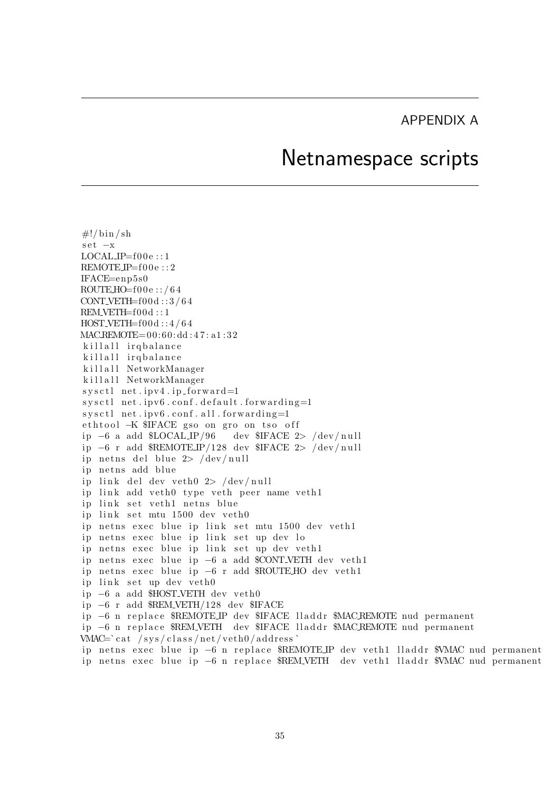## APPENDIX A

## Netnamespace scripts

<span id="page-35-0"></span> $\#!/ \text{bin}/\text{sh}$ set −x  $LOCAL$   $IP = f00e$  ::1  $REMOTEIP=f00e::2$ IFACE=enp5s0  $ROUTE H0=f00e$ ::/64 CONT\_VETH= $f00d::3/64$ REM\_VETH=f00d::1  $HOST_VETH = f00d :: 4/64$ MACREMOTE=  $00:60:dd:47:ad:32$ killall ir q balance killall ir q balance killall NetworkManager killall NetworkManager  $syst1$  net . ipv4. ip\_forward=1  $syst1$  net . ipv $6$  . conf. default . forwarding=1  $systl$  net . ipv $6$  . conf. all . forwarding=1 ethtool −K \$IFACE gso on gro on tso off ip −6 a add \$LOCAL IP/96 dev \$IFACE 2> /dev/null i p −6 r add \$REMOTE IP/128 dev \$IFACE 2> / dev / n u l l ip netns del blue  $2$ > /dev/null ip netns add blue ip link del dev veth $0 \geq \sqrt{\frac{\text{dev}}{\text{null}}}$ ip link add veth0 type veth peer name veth1 ip link set veth1 netns blue ip link set mtu 1500 dev veth0 ip netns exec blue ip link set mtu 1500 dev veth1 ip netns exec blue ip link set up dev lo ip netns exec blue ip link set up dev veth1 ip netns exec blue ip −6 a add \$CONT\_VETH dev veth1 ip netns exec blue ip −6 r add \$ROUTEHO dev veth1 ip link set up dev veth0 ip −6 a add \$HOST\_VETH dev veth0 i p −6 r add \$REM VETH/128 dev \$IFACE ip −6 n replace \$REMOTE IP dev \$IFACE lladdr \$MAC REMOTE nud permanent ip −6 n replace \$REM\_VETH dev \$IFACE lladdr \$MACREMOTE nud permanent  $VMAC='cat / sys / class / net / veth0 / address'$ ip netns exec blue ip −6 n replace \$REMOTE IP dev veth1 lladdr \$VMAC nud permanent ip netns exec blue ip −6 n replace \$REM\_VETH dev veth1 lladdr \$VMAC nud permanent